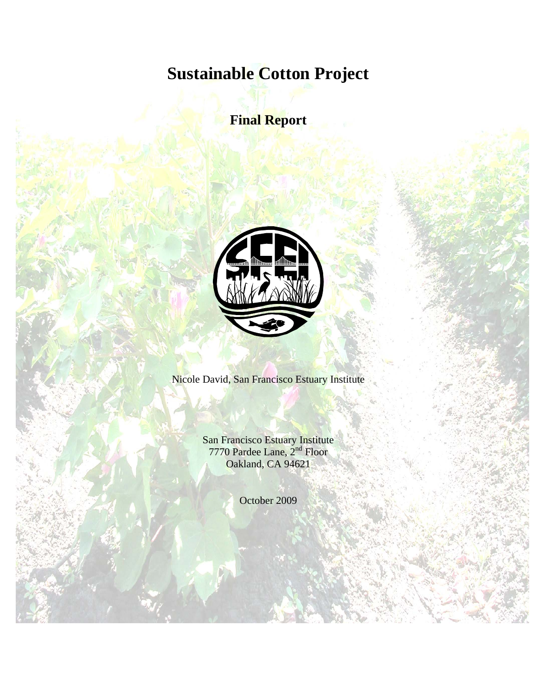# **Sustainable Cotton Project**

**Final Report** 



Nicole David, San Francisco Estuary Institute

San Francisco Estuary Institute 7770 Pardee Lane, 2<sup>nd</sup> Floor Oakland, CA 94621

October 2009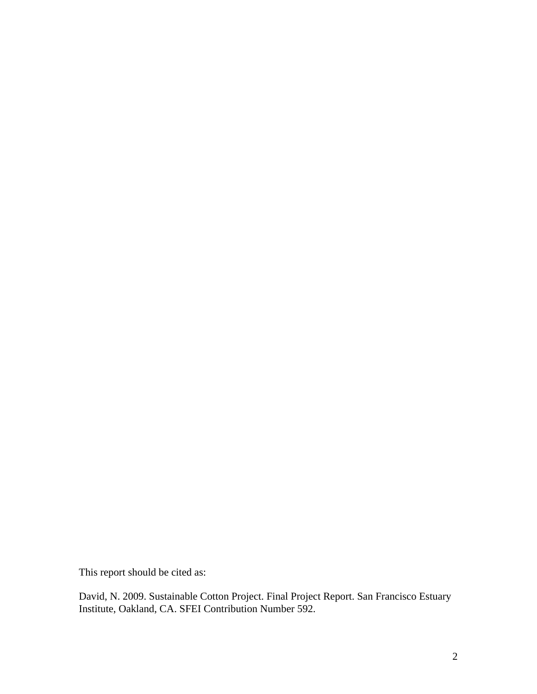This report should be cited as:

David, N. 2009. Sustainable Cotton Project. Final Project Report. San Francisco Estuary Institute, Oakland, CA. SFEI Contribution Number 592.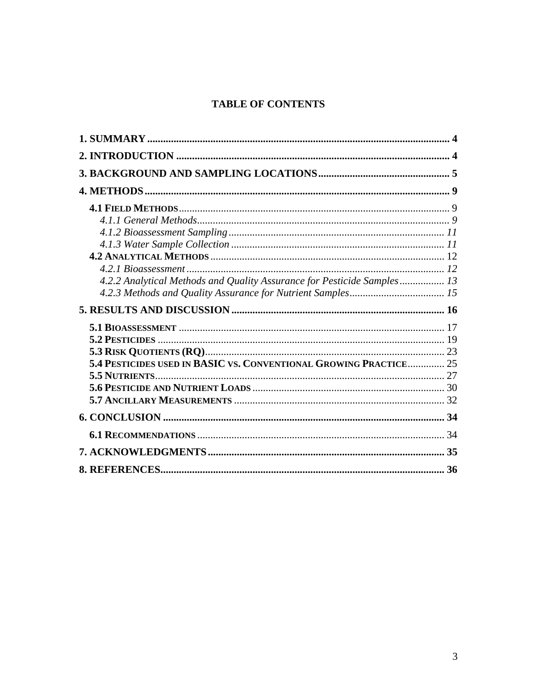# **TABLE OF CONTENTS**

| 4.2.2 Analytical Methods and Quality Assurance for Pesticide Samples 13 |  |
|-------------------------------------------------------------------------|--|
|                                                                         |  |
|                                                                         |  |
|                                                                         |  |
|                                                                         |  |
|                                                                         |  |
|                                                                         |  |
| 5.4 PESTICIDES USED IN BASIC VS. CONVENTIONAL GROWING PRACTICE 25       |  |
|                                                                         |  |
|                                                                         |  |
|                                                                         |  |
|                                                                         |  |
|                                                                         |  |
|                                                                         |  |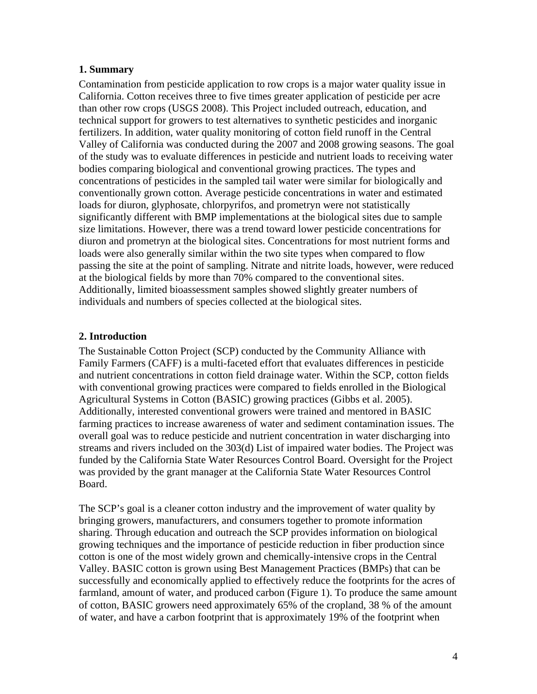#### <span id="page-3-0"></span>**1. Summary**

Contamination from pesticide application to row crops is a major water quality issue in California. Cotton receives three to five times greater application of pesticide per acre than other row crops (USGS 2008). This Project included outreach, education, and technical support for growers to test alternatives to synthetic pesticides and inorganic fertilizers. In addition, water quality monitoring of cotton field runoff in the Central Valley of California was conducted during the 2007 and 2008 growing seasons. The goal of the study was to evaluate differences in pesticide and nutrient loads to receiving water bodies comparing biological and conventional growing practices. The types and concentrations of pesticides in the sampled tail water were similar for biologically and conventionally grown cotton. Average pesticide concentrations in water and estimated loads for diuron, glyphosate, chlorpyrifos, and prometryn were not statistically significantly different with BMP implementations at the biological sites due to sample size limitations. However, there was a trend toward lower pesticide concentrations for diuron and prometryn at the biological sites. Concentrations for most nutrient forms and loads were also generally similar within the two site types when compared to flow passing the site at the point of sampling. Nitrate and nitrite loads, however, were reduced at the biological fields by more than 70% compared to the conventional sites. Additionally, limited bioassessment samples showed slightly greater numbers of individuals and numbers of species collected at the biological sites.

## <span id="page-3-1"></span>**2. Introduction**

The Sustainable Cotton Project (SCP) conducted by the Community Alliance with Family Farmers (CAFF) is a multi-faceted effort that evaluates differences in pesticide and nutrient concentrations in cotton field drainage water. Within the SCP, cotton fields with conventional growing practices were compared to fields enrolled in the Biological Agricultural Systems in Cotton (BASIC) growing practices (Gibbs et al. 2005). Additionally, interested conventional growers were trained and mentored in BASIC farming practices to increase awareness of water and sediment contamination issues. The overall goal was to reduce pesticide and nutrient concentration in water discharging into streams and rivers included on the 303(d) List of impaired water bodies. The Project was funded by the California State Water Resources Control Board. Oversight for the Project was provided by the grant manager at the California State Water Resources Control Board.

The SCP's goal is a cleaner cotton industry and the improvement of water quality by bringing growers, manufacturers, and consumers together to promote information sharing. Through education and outreach the SCP provides information on biological growing techniques and the importance of pesticide reduction in fiber production since cotton is one of the most widely grown and chemically-intensive crops in the Central Valley. BASIC cotton is grown using Best Management Practices (BMPs) that can be successfully and economically applied to effectively reduce the footprints for the acres of farmland, amount of water, and produced carbon (Figure 1). To produce the same amount of cotton, BASIC growers need approximately 65% of the cropland, 38 % of the amount of water, and have a carbon footprint that is approximately 19% of the footprint when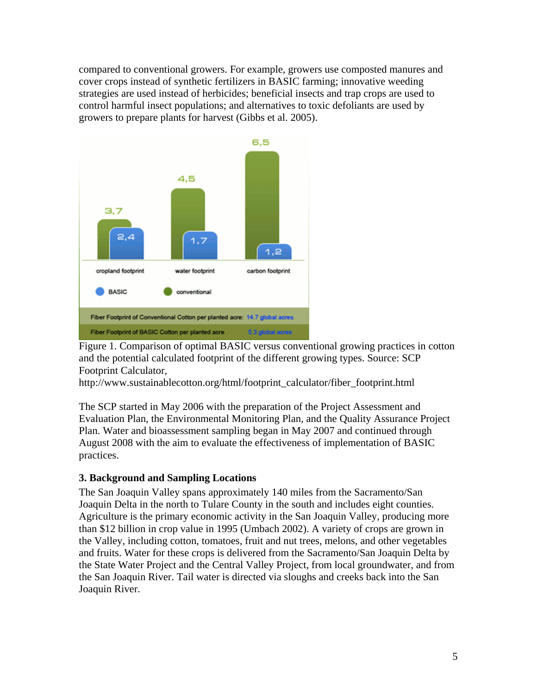compared to conventional growers. For example, growers use composted manures and cover crops instead of synthetic fertilizers in BASIC farming; innovative weeding strategies are used instead of herbicides; beneficial insects and trap crops are used to control harmful insect populations; and alternatives to toxic defoliants are used by growers to prepare plants for harvest (Gibbs et al. 2005).



Figure 1. Comparison of optimal BASIC versus conventional growing practices in cotton and the potential calculated footprint of the different growing types. Source: SCP Footprint Calculator,

http://www.sustainablecotton.org/html/footprint\_calculator/fiber\_footprint.html

The SCP started in May 2006 with the preparation of the Project Assessment and Evaluation Plan, the Environmental Monitoring Plan, and the Quality Assurance Project Plan. Water and bioassessment sampling began in May 2007 and continued through August 2008 with the aim to evaluate the effectiveness of implementation of BASIC practices.

## <span id="page-4-0"></span>**3. Background and Sampling Locations**

The San Joaquin Valley spans approximately 140 miles from the Sacramento/San Joaquin Delta in the north to Tulare County in the south and includes eight counties. Agriculture is the primary economic activity in the San Joaquin Valley, producing more than \$12 billion in crop value in 1995 (Umbach 2002). A variety of crops are grown in the Valley, including cotton, tomatoes, fruit and nut trees, melons, and other vegetables and fruits. Water for these crops is delivered from the Sacramento/San Joaquin Delta by the State Water Project and the Central Valley Project, from local groundwater, and from the San Joaquin River. Tail water is directed via sloughs and creeks back into the San Joaquin River.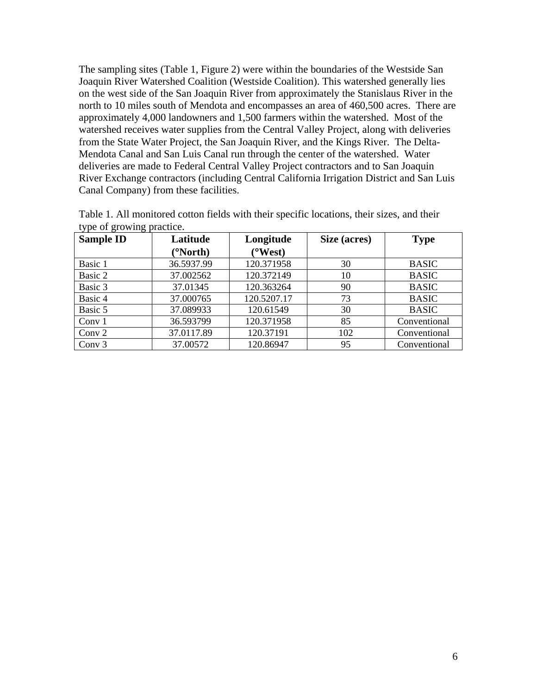The sampling sites (Table 1, Figure 2) were within the boundaries of the Westside San Joaquin River Watershed Coalition (Westside Coalition). This watershed generally lies on the west side of the San Joaquin River from approximately the Stanislaus River in the north to 10 miles south of Mendota and encompasses an area of 460,500 acres. There are approximately 4,000 landowners and 1,500 farmers within the watershed. Most of the watershed receives water supplies from the Central Valley Project, along with deliveries from the State Water Project, the San Joaquin River, and the Kings River. The Delta-Mendota Canal and San Luis Canal run through the center of the watershed. Water deliveries are made to Federal Central Valley Project contractors and to San Joaquin River Exchange contractors (including Central California Irrigation District and San Luis Canal Company) from these facilities.

| ັ້<br><b>Sample ID</b> | Latitude   | Longitude   | Size (acres) | <b>Type</b>  |
|------------------------|------------|-------------|--------------|--------------|
|                        | (°North)   | (°West)     |              |              |
| Basic 1                | 36.5937.99 | 120.371958  | 30           | <b>BASIC</b> |
| Basic 2                | 37.002562  | 120.372149  | 10           | <b>BASIC</b> |
| Basic 3                | 37.01345   | 120.363264  | 90           | <b>BASIC</b> |
| Basic 4                | 37.000765  | 120.5207.17 | 73           | <b>BASIC</b> |
| Basic 5                | 37.089933  | 120.61549   | 30           | <b>BASIC</b> |
| Conv $1$               | 36.593799  | 120.371958  | 85           | Conventional |
| Conv 2                 | 37.0117.89 | 120.37191   | 102          | Conventional |
| Conv $3$               | 37.00572   | 120.86947   | 95           | Conventional |

Table 1. All monitored cotton fields with their specific locations, their sizes, and their type of growing practice.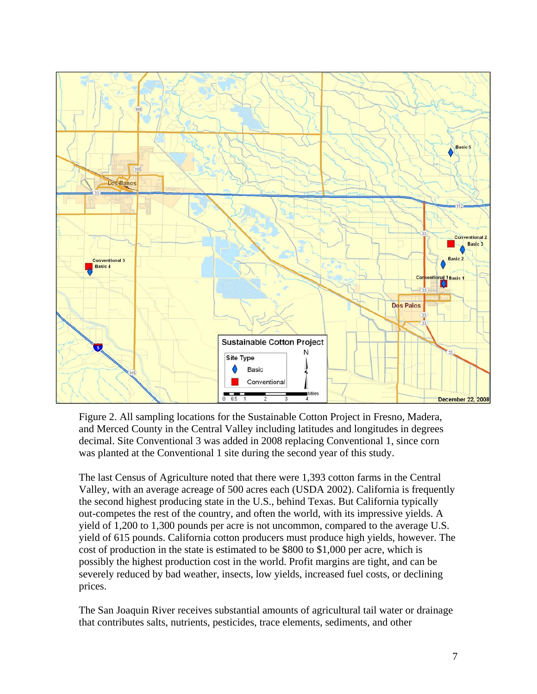

Figure 2. All sampling locations for the Sustainable Cotton Project in Fresno, Madera, and Merced County in the Central Valley including latitudes and longitudes in degrees decimal. Site Conventional 3 was added in 2008 replacing Conventional 1, since corn was planted at the Conventional 1 site during the second year of this study.

The last Census of Agriculture noted that there were 1,393 cotton farms in the Central Valley, with an average acreage of 500 acres each (USDA 2002). California is frequently the second highest producing state in the U.S., behind Texas. But California typically out-competes the rest of the country, and often the world, with its impressive yields. A yield of 1,200 to 1,300 pounds per acre is not uncommon, compared to the average U.S. yield of 615 pounds. California cotton producers must produce high yields, however. The cost of production in the state is estimated to be \$800 to \$1,000 per acre, which is possibly the highest production cost in the world. Profit margins are tight, and can be severely reduced by bad weather, insects, low yields, increased fuel costs, or declining prices.

The San Joaquin River receives substantial amounts of agricultural tail water or drainage that contributes salts, nutrients, pesticides, trace elements, sediments, and other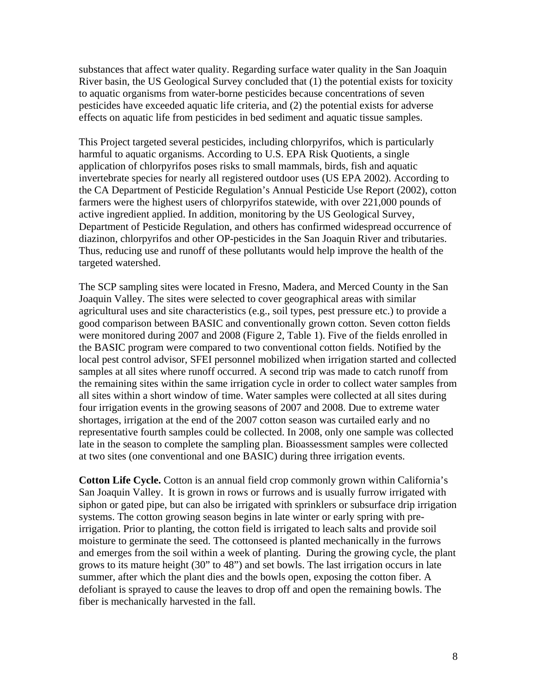substances that affect water quality. Regarding surface water quality in the San Joaquin River basin, the US Geological Survey concluded that (1) the potential exists for toxicity to aquatic organisms from water-borne pesticides because concentrations of seven pesticides have exceeded aquatic life criteria, and (2) the potential exists for adverse effects on aquatic life from pesticides in bed sediment and aquatic tissue samples.

This Project targeted several pesticides, including chlorpyrifos, which is particularly harmful to aquatic organisms. According to U.S. EPA Risk Quotients, a single application of chlorpyrifos poses risks to small mammals, birds, fish and aquatic invertebrate species for nearly all registered outdoor uses (US EPA 2002). According to the CA Department of Pesticide Regulation's Annual Pesticide Use Report (2002), cotton farmers were the highest users of chlorpyrifos statewide, with over 221,000 pounds of active ingredient applied. In addition, monitoring by the US Geological Survey, Department of Pesticide Regulation, and others has confirmed widespread occurrence of diazinon, chlorpyrifos and other OP-pesticides in the San Joaquin River and tributaries. Thus, reducing use and runoff of these pollutants would help improve the health of the targeted watershed.

The SCP sampling sites were located in Fresno, Madera, and Merced County in the San Joaquin Valley. The sites were selected to cover geographical areas with similar agricultural uses and site characteristics (e.g., soil types, pest pressure etc.) to provide a good comparison between BASIC and conventionally grown cotton. Seven cotton fields were monitored during 2007 and 2008 (Figure 2, Table 1). Five of the fields enrolled in the BASIC program were compared to two conventional cotton fields. Notified by the local pest control advisor, SFEI personnel mobilized when irrigation started and collected samples at all sites where runoff occurred. A second trip was made to catch runoff from the remaining sites within the same irrigation cycle in order to collect water samples from all sites within a short window of time. Water samples were collected at all sites during four irrigation events in the growing seasons of 2007 and 2008. Due to extreme water shortages, irrigation at the end of the 2007 cotton season was curtailed early and no representative fourth samples could be collected. In 2008, only one sample was collected late in the season to complete the sampling plan. Bioassessment samples were collected at two sites (one conventional and one BASIC) during three irrigation events.

**Cotton Life Cycle.** Cotton is an annual field crop commonly grown within California's San Joaquin Valley. It is grown in rows or furrows and is usually furrow irrigated with siphon or gated pipe, but can also be irrigated with sprinklers or subsurface drip irrigation systems. The cotton growing season begins in late winter or early spring with preirrigation. Prior to planting, the cotton field is irrigated to leach salts and provide soil moisture to germinate the seed. The cottonseed is planted mechanically in the furrows and emerges from the soil within a week of planting. During the growing cycle, the plant grows to its mature height (30" to 48") and set bowls. The last irrigation occurs in late summer, after which the plant dies and the bowls open, exposing the cotton fiber. A defoliant is sprayed to cause the leaves to drop off and open the remaining bowls. The fiber is mechanically harvested in the fall.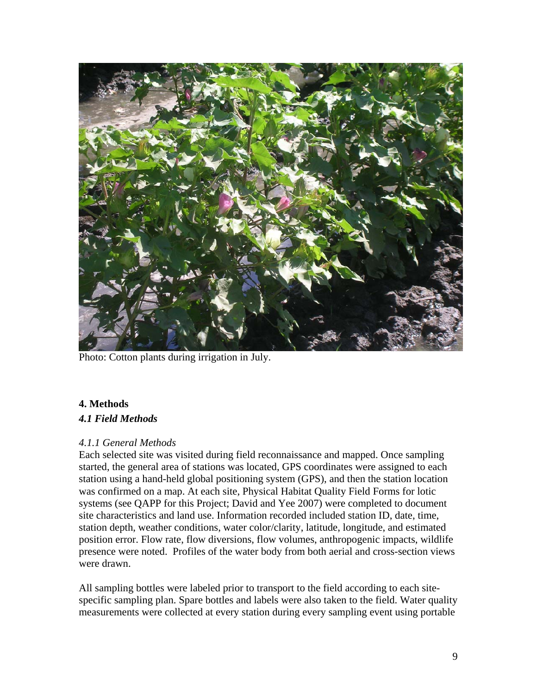

Photo: Cotton plants during irrigation in July.

# <span id="page-8-0"></span>**4. Methods**

## <span id="page-8-1"></span>*4.1 Field Methods*

## <span id="page-8-2"></span>*4.1.1 General Methods*

Each selected site was visited during field reconnaissance and mapped. Once sampling started, the general area of stations was located, GPS coordinates were assigned to each station using a hand-held global positioning system (GPS), and then the station location was confirmed on a map. At each site, Physical Habitat Quality Field Forms for lotic systems (see QAPP for this Project; David and Yee 2007) were completed to document site characteristics and land use. Information recorded included station ID, date, time, station depth, weather conditions, water color/clarity, latitude, longitude, and estimated position error. Flow rate, flow diversions, flow volumes, anthropogenic impacts, wildlife presence were noted. Profiles of the water body from both aerial and cross-section views were drawn.

All sampling bottles were labeled prior to transport to the field according to each sitespecific sampling plan. Spare bottles and labels were also taken to the field. Water quality measurements were collected at every station during every sampling event using portable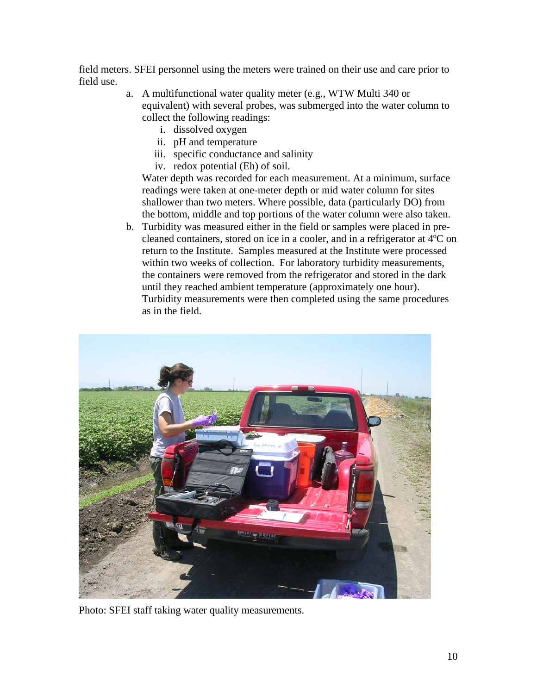field meters. SFEI personnel using the meters were trained on their use and care prior to field use.

- a. A multifunctional water quality meter (e.g., WTW Multi 340 or equivalent) with several probes, was submerged into the water column to collect the following readings:
	- i. dissolved oxygen
	- ii. pH and temperature
	- iii. specific conductance and salinity
	- iv. redox potential (Eh) of soil.

Water depth was recorded for each measurement. At a minimum, surface readings were taken at one-meter depth or mid water column for sites shallower than two meters. Where possible, data (particularly DO) from the bottom, middle and top portions of the water column were also taken.

b. Turbidity was measured either in the field or samples were placed in precleaned containers, stored on ice in a cooler, and in a refrigerator at 4ºC on return to the Institute. Samples measured at the Institute were processed within two weeks of collection. For laboratory turbidity measurements, the containers were removed from the refrigerator and stored in the dark until they reached ambient temperature (approximately one hour). Turbidity measurements were then completed using the same procedures as in the field.



Photo: SFEI staff taking water quality measurements.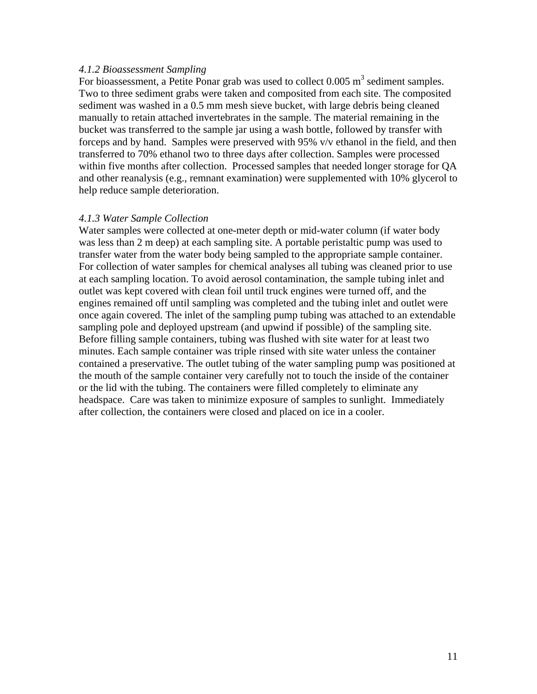#### <span id="page-10-0"></span>*4.1.2 Bioassessment Sampling*

For bioassessment, a Petite Ponar grab was used to collect  $0.005 \text{ m}^3$  sediment samples. Two to three sediment grabs were taken and composited from each site. The composited sediment was washed in a 0.5 mm mesh sieve bucket, with large debris being cleaned manually to retain attached invertebrates in the sample. The material remaining in the bucket was transferred to the sample jar using a wash bottle, followed by transfer with forceps and by hand. Samples were preserved with 95% v/v ethanol in the field, and then transferred to 70% ethanol two to three days after collection. Samples were processed within five months after collection. Processed samples that needed longer storage for QA and other reanalysis (e.g., remnant examination) were supplemented with 10% glycerol to help reduce sample deterioration.

#### <span id="page-10-1"></span>*4.1.3 Water Sample Collection*

Water samples were collected at one-meter depth or mid-water column (if water body was less than 2 m deep) at each sampling site. A portable peristaltic pump was used to transfer water from the water body being sampled to the appropriate sample container. For collection of water samples for chemical analyses all tubing was cleaned prior to use at each sampling location. To avoid aerosol contamination, the sample tubing inlet and outlet was kept covered with clean foil until truck engines were turned off, and the engines remained off until sampling was completed and the tubing inlet and outlet were once again covered. The inlet of the sampling pump tubing was attached to an extendable sampling pole and deployed upstream (and upwind if possible) of the sampling site. Before filling sample containers, tubing was flushed with site water for at least two minutes. Each sample container was triple rinsed with site water unless the container contained a preservative. The outlet tubing of the water sampling pump was positioned at the mouth of the sample container very carefully not to touch the inside of the container or the lid with the tubing. The containers were filled completely to eliminate any headspace. Care was taken to minimize exposure of samples to sunlight. Immediately after collection, the containers were closed and placed on ice in a cooler.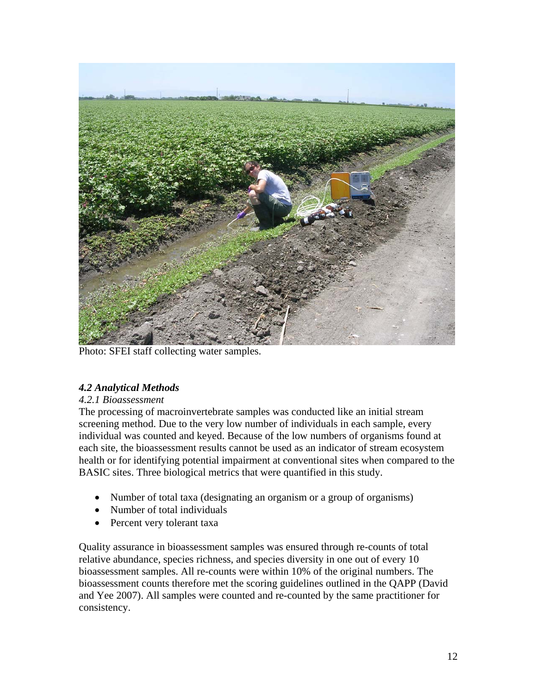

Photo: SFEI staff collecting water samples.

# <span id="page-11-0"></span>*4.2 Analytical Methods*

## <span id="page-11-1"></span>*4.2.1 Bioassessment*

The processing of macroinvertebrate samples was conducted like an initial stream screening method. Due to the very low number of individuals in each sample, every individual was counted and keyed. Because of the low numbers of organisms found at each site, the bioassessment results cannot be used as an indicator of stream ecosystem health or for identifying potential impairment at conventional sites when compared to the BASIC sites. Three biological metrics that were quantified in this study.

- Number of total taxa (designating an organism or a group of organisms)
- Number of total individuals
- Percent very tolerant taxa

Quality assurance in bioassessment samples was ensured through re-counts of total relative abundance, species richness, and species diversity in one out of every 10 bioassessment samples. All re-counts were within 10% of the original numbers. The bioassessment counts therefore met the scoring guidelines outlined in the QAPP (David and Yee 2007). All samples were counted and re-counted by the same practitioner for consistency.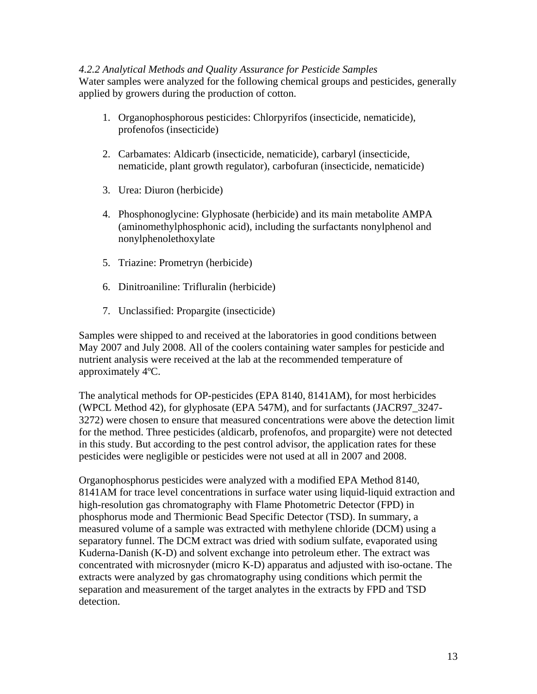## <span id="page-12-0"></span>*4.2.2 Analytical Methods and Quality Assurance for Pesticide Samples*

Water samples were analyzed for the following chemical groups and pesticides, generally applied by growers during the production of cotton.

- 1. Organophosphorous pesticides: Chlorpyrifos (insecticide, nematicide), profenofos (insecticide)
- 2. Carbamates: Aldicarb (insecticide, nematicide), carbaryl (insecticide, nematicide, plant growth regulator), carbofuran (insecticide, nematicide)
- 3. Urea: Diuron (herbicide)
- 4. Phosphonoglycine: Glyphosate (herbicide) and its main metabolite AMPA (aminomethylphosphonic acid), including the surfactants nonylphenol and nonylphenolethoxylate
- 5. Triazine: Prometryn (herbicide)
- 6. Dinitroaniline: Trifluralin (herbicide)
- 7. Unclassified: Propargite (insecticide)

Samples were shipped to and received at the laboratories in good conditions between May 2007 and July 2008. All of the coolers containing water samples for pesticide and nutrient analysis were received at the lab at the recommended temperature of approximately 4ºC.

The analytical methods for OP-pesticides (EPA 8140, 8141AM), for most herbicides (WPCL Method 42), for glyphosate (EPA 547M), and for surfactants (JACR97\_3247- 3272) were chosen to ensure that measured concentrations were above the detection limit for the method. Three pesticides (aldicarb, profenofos, and propargite) were not detected in this study. But according to the pest control advisor, the application rates for these pesticides were negligible or pesticides were not used at all in 2007 and 2008.

Organophosphorus pesticides were analyzed with a modified EPA Method 8140, 8141AM for trace level concentrations in surface water using liquid-liquid extraction and high-resolution gas chromatography with Flame Photometric Detector (FPD) in phosphorus mode and Thermionic Bead Specific Detector (TSD). In summary, a measured volume of a sample was extracted with methylene chloride (DCM) using a separatory funnel. The DCM extract was dried with sodium sulfate, evaporated using Kuderna-Danish (K-D) and solvent exchange into petroleum ether. The extract was concentrated with microsnyder (micro K-D) apparatus and adjusted with iso-octane. The extracts were analyzed by gas chromatography using conditions which permit the separation and measurement of the target analytes in the extracts by FPD and TSD detection.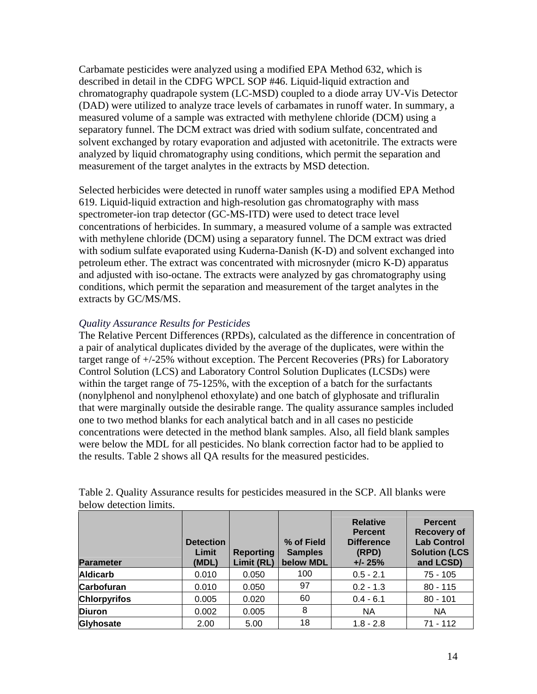Carbamate pesticides were analyzed using a modified EPA Method 632, which is described in detail in the CDFG WPCL SOP #46. Liquid-liquid extraction and chromatography quadrapole system (LC-MSD) coupled to a diode array UV-Vis Detector (DAD) were utilized to analyze trace levels of carbamates in runoff water. In summary, a measured volume of a sample was extracted with methylene chloride (DCM) using a separatory funnel. The DCM extract was dried with sodium sulfate, concentrated and solvent exchanged by rotary evaporation and adjusted with acetonitrile. The extracts were analyzed by liquid chromatography using conditions, which permit the separation and measurement of the target analytes in the extracts by MSD detection.

Selected herbicides were detected in runoff water samples using a modified EPA Method 619. Liquid-liquid extraction and high-resolution gas chromatography with mass spectrometer-ion trap detector (GC-MS-ITD) were used to detect trace level concentrations of herbicides. In summary, a measured volume of a sample was extracted with methylene chloride (DCM) using a separatory funnel. The DCM extract was dried with sodium sulfate evaporated using Kuderna-Danish (K-D) and solvent exchanged into petroleum ether. The extract was concentrated with microsnyder (micro K-D) apparatus and adjusted with iso-octane. The extracts were analyzed by gas chromatography using conditions, which permit the separation and measurement of the target analytes in the extracts by GC/MS/MS.

## *Quality Assurance Results for Pesticides*

The Relative Percent Differences (RPDs), calculated as the difference in concentration of a pair of analytical duplicates divided by the average of the duplicates, were within the target range of +/-25% without exception. The Percent Recoveries (PRs) for Laboratory Control Solution (LCS) and Laboratory Control Solution Duplicates (LCSDs) were within the target range of 75-125%, with the exception of a batch for the surfactants (nonylphenol and nonylphenol ethoxylate) and one batch of glyphosate and trifluralin that were marginally outside the desirable range. The quality assurance samples included one to two method blanks for each analytical batch and in all cases no pesticide concentrations were detected in the method blank samples. Also, all field blank samples were below the MDL for all pesticides. No blank correction factor had to be applied to the results. Table 2 shows all QA results for the measured pesticides.

| <b>Parameter</b>    | <b>Detection</b><br>Limit<br>(MDL) | <b>Reporting</b><br>Limit (RL) | % of Field<br><b>Samples</b><br>below MDL | <b>Relative</b><br><b>Percent</b><br><b>Difference</b><br>(RPD)<br>$+/- 25%$ | <b>Percent</b><br><b>Recovery of</b><br><b>Lab Control</b><br><b>Solution (LCS</b><br>and LCSD) |
|---------------------|------------------------------------|--------------------------------|-------------------------------------------|------------------------------------------------------------------------------|-------------------------------------------------------------------------------------------------|
| <b>Aldicarb</b>     | 0.010                              | 0.050                          | 100                                       | $0.5 - 2.1$                                                                  | 75 - 105                                                                                        |
| <b>Carbofuran</b>   | 0.010                              | 0.050                          | 97                                        | $0.2 - 1.3$                                                                  | $80 - 115$                                                                                      |
| <b>Chlorpyrifos</b> | 0.005                              | 0.020                          | 60                                        | $0.4 - 6.1$                                                                  | $80 - 101$                                                                                      |
| <b>Diuron</b>       | 0.002                              | 0.005                          | 8                                         | <b>NA</b>                                                                    | <b>NA</b>                                                                                       |
| Glyhosate           | 2.00                               | 5.00                           | 18                                        | $1.8 - 2.8$                                                                  | $71 - 112$                                                                                      |

Table 2. Quality Assurance results for pesticides measured in the SCP. All blanks were below detection limits.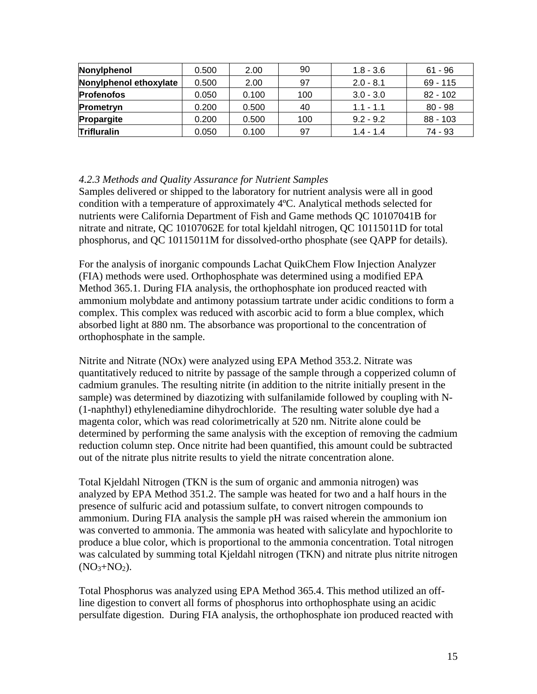| Nonylphenol            | 0.500 | 2.00  | 90  | $1.8 - 3.6$ | $61 - 96$  |
|------------------------|-------|-------|-----|-------------|------------|
| Nonylphenol ethoxylate | 0.500 | 2.00  | 97  | $2.0 - 8.1$ | $69 - 115$ |
| <b>Profenofos</b>      | 0.050 | 0.100 | 100 | $3.0 - 3.0$ | $82 - 102$ |
| <b>Prometryn</b>       | 0.200 | 0.500 | 40  | $1.1 - 1.1$ | $80 - 98$  |
| Propargite             | 0.200 | 0.500 | 100 | $9.2 - 9.2$ | $88 - 103$ |
| <b>Trifluralin</b>     | 0.050 | 0.100 | 97  | $1.4 - 1.4$ | 74 - 93    |

#### <span id="page-14-0"></span>*4.2.3 Methods and Quality Assurance for Nutrient Samples*

Samples delivered or shipped to the laboratory for nutrient analysis were all in good condition with a temperature of approximately 4ºC. Analytical methods selected for nutrients were California Department of Fish and Game methods QC 10107041B for nitrate and nitrate, QC 10107062E for total kjeldahl nitrogen, QC 10115011D for total phosphorus, and QC 10115011M for dissolved-ortho phosphate (see QAPP for details).

For the analysis of inorganic compounds Lachat QuikChem Flow Injection Analyzer (FIA) methods were used. Orthophosphate was determined using a modified EPA Method 365.1. During FIA analysis, the orthophosphate ion produced reacted with ammonium molybdate and antimony potassium tartrate under acidic conditions to form a complex. This complex was reduced with ascorbic acid to form a blue complex, which absorbed light at 880 nm. The absorbance was proportional to the concentration of orthophosphate in the sample.

Nitrite and Nitrate (NOx) were analyzed using EPA Method 353.2. Nitrate was quantitatively reduced to nitrite by passage of the sample through a copperized column of cadmium granules. The resulting nitrite (in addition to the nitrite initially present in the sample) was determined by diazotizing with sulfanilamide followed by coupling with N- (1-naphthyl) ethylenediamine dihydrochloride. The resulting water soluble dye had a magenta color, which was read colorimetrically at 520 nm. Nitrite alone could be determined by performing the same analysis with the exception of removing the cadmium reduction column step. Once nitrite had been quantified, this amount could be subtracted out of the nitrate plus nitrite results to yield the nitrate concentration alone.

Total Kjeldahl Nitrogen (TKN is the sum of organic and ammonia nitrogen) was analyzed by EPA Method 351.2. The sample was heated for two and a half hours in the presence of sulfuric acid and potassium sulfate, to convert nitrogen compounds to ammonium. During FIA analysis the sample pH was raised wherein the ammonium ion was converted to ammonia. The ammonia was heated with salicylate and hypochlorite to produce a blue color, which is proportional to the ammonia concentration. Total nitrogen was calculated by summing total Kjeldahl nitrogen (TKN) and nitrate plus nitrite nitrogen  $(NO<sub>3</sub>+NO<sub>2</sub>)$ .

Total Phosphorus was analyzed using EPA Method 365.4. This method utilized an offline digestion to convert all forms of phosphorus into orthophosphate using an acidic persulfate digestion. During FIA analysis, the orthophosphate ion produced reacted with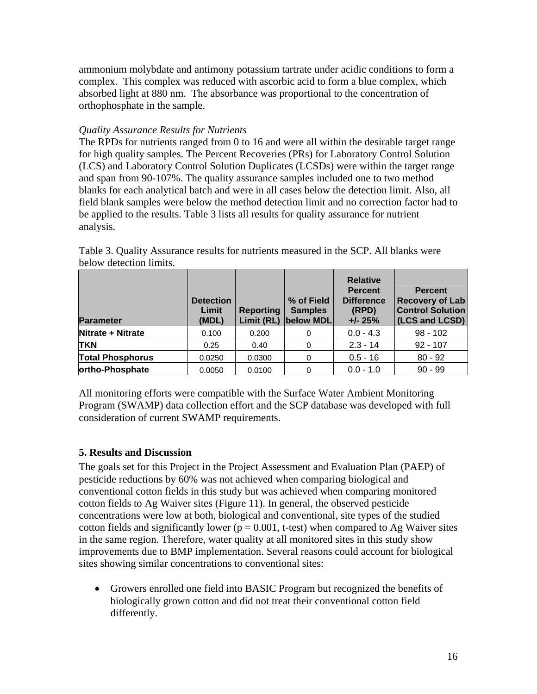ammonium molybdate and antimony potassium tartrate under acidic conditions to form a complex. This complex was reduced with ascorbic acid to form a blue complex, which absorbed light at 880 nm. The absorbance was proportional to the concentration of orthophosphate in the sample.

## *Quality Assurance Results for Nutrients*

The RPDs for nutrients ranged from 0 to 16 and were all within the desirable target range for high quality samples. The Percent Recoveries (PRs) for Laboratory Control Solution (LCS) and Laboratory Control Solution Duplicates (LCSDs) were within the target range and span from 90-107%. The quality assurance samples included one to two method blanks for each analytical batch and were in all cases below the detection limit. Also, all field blank samples were below the method detection limit and no correction factor had to be applied to the results. Table 3 lists all results for quality assurance for nutrient analysis.

| <b>Parameter</b>        | <b>Detection</b><br>Limit<br>(MDL) | <b>Reporting</b> | % of Field<br><b>Samples</b><br>Limit (RL) below MDL | <b>Relative</b><br><b>Percent</b><br><b>Difference</b><br>(RPD)<br>$+/- 25%$ | <b>Percent</b><br><b>Recovery of Lab</b><br><b>Control Solution</b><br>(LCS and LCSD) |
|-------------------------|------------------------------------|------------------|------------------------------------------------------|------------------------------------------------------------------------------|---------------------------------------------------------------------------------------|
| Nitrate + Nitrate       | 0.100                              | 0.200            | 0                                                    | $0.0 - 4.3$                                                                  | $98 - 102$                                                                            |
| <b>TKN</b>              | 0.25                               | 0.40             | 0                                                    | $2.3 - 14$                                                                   | $92 - 107$                                                                            |
| <b>Total Phosphorus</b> | 0.0250                             | 0.0300           | 0                                                    | $0.5 - 16$                                                                   | $80 - 92$                                                                             |
| ortho-Phosphate         | 0.0050                             | 0.0100           | 0                                                    | $0.0 - 1.0$                                                                  | $90 - 99$                                                                             |

Table 3. Quality Assurance results for nutrients measured in the SCP. All blanks were below detection limits.

All monitoring efforts were compatible with the Surface Water Ambient Monitoring Program (SWAMP) data collection effort and the SCP database was developed with full consideration of current SWAMP requirements.

## <span id="page-15-0"></span>**5. Results and Discussion**

The goals set for this Project in the Project Assessment and Evaluation Plan (PAEP) of pesticide reductions by 60% was not achieved when comparing biological and conventional cotton fields in this study but was achieved when comparing monitored cotton fields to Ag Waiver sites (Figure 11). In general, the observed pesticide concentrations were low at both, biological and conventional, site types of the studied cotton fields and significantly lower ( $p = 0.001$ , t-test) when compared to Ag Waiver sites in the same region. Therefore, water quality at all monitored sites in this study show improvements due to BMP implementation. Several reasons could account for biological sites showing similar concentrations to conventional sites:

 Growers enrolled one field into BASIC Program but recognized the benefits of biologically grown cotton and did not treat their conventional cotton field differently.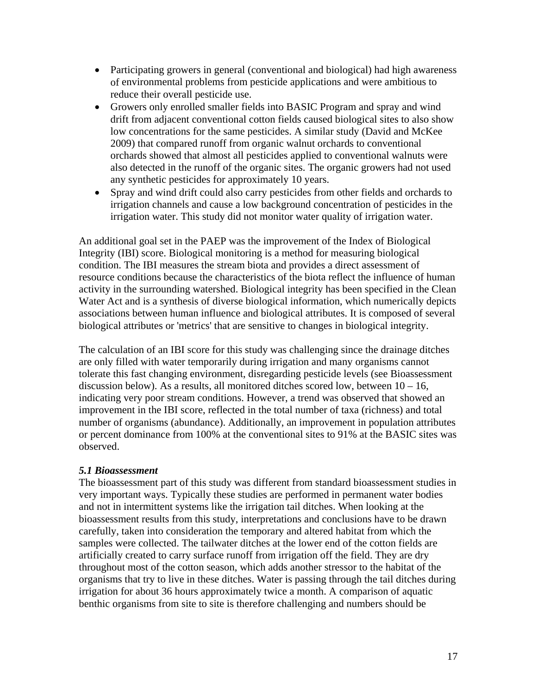- Participating growers in general (conventional and biological) had high awareness of environmental problems from pesticide applications and were ambitious to reduce their overall pesticide use.
- Growers only enrolled smaller fields into BASIC Program and spray and wind drift from adjacent conventional cotton fields caused biological sites to also show low concentrations for the same pesticides. A similar study (David and McKee 2009) that compared runoff from organic walnut orchards to conventional orchards showed that almost all pesticides applied to conventional walnuts were also detected in the runoff of the organic sites. The organic growers had not used any synthetic pesticides for approximately 10 years.
- Spray and wind drift could also carry pesticides from other fields and orchards to irrigation channels and cause a low background concentration of pesticides in the irrigation water. This study did not monitor water quality of irrigation water.

An additional goal set in the PAEP was the improvement of the Index of Biological Integrity (IBI) score. Biological monitoring is a method for measuring biological condition. The IBI measures the stream biota and provides a direct assessment of resource conditions because the characteristics of the biota reflect the influence of human activity in the surrounding watershed. Biological integrity has been specified in the Clean Water Act and is a synthesis of diverse biological information, which numerically depicts associations between human influence and biological attributes. It is composed of several biological attributes or 'metrics' that are sensitive to changes in biological integrity.

The calculation of an IBI score for this study was challenging since the drainage ditches are only filled with water temporarily during irrigation and many organisms cannot tolerate this fast changing environment, disregarding pesticide levels (see Bioassessment discussion below). As a results, all monitored ditches scored low, between  $10 - 16$ , indicating very poor stream conditions. However, a trend was observed that showed an improvement in the IBI score, reflected in the total number of taxa (richness) and total number of organisms (abundance). Additionally, an improvement in population attributes or percent dominance from 100% at the conventional sites to 91% at the BASIC sites was observed.

#### <span id="page-16-0"></span>*5.1 Bioassessment*

The bioassessment part of this study was different from standard bioassessment studies in very important ways. Typically these studies are performed in permanent water bodies and not in intermittent systems like the irrigation tail ditches. When looking at the bioassessment results from this study, interpretations and conclusions have to be drawn carefully, taken into consideration the temporary and altered habitat from which the samples were collected. The tailwater ditches at the lower end of the cotton fields are artificially created to carry surface runoff from irrigation off the field. They are dry throughout most of the cotton season, which adds another stressor to the habitat of the organisms that try to live in these ditches. Water is passing through the tail ditches during irrigation for about 36 hours approximately twice a month. A comparison of aquatic benthic organisms from site to site is therefore challenging and numbers should be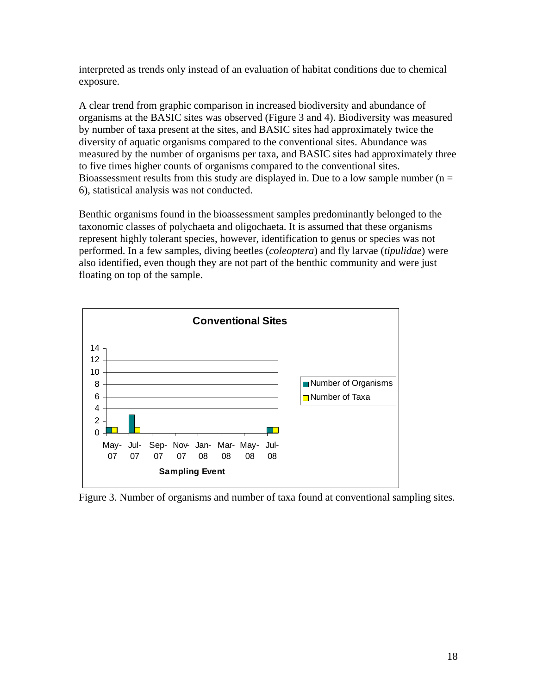interpreted as trends only instead of an evaluation of habitat conditions due to chemical exposure.

A clear trend from graphic comparison in increased biodiversity and abundance of organisms at the BASIC sites was observed (Figure 3 and 4). Biodiversity was measured by number of taxa present at the sites, and BASIC sites had approximately twice the diversity of aquatic organisms compared to the conventional sites. Abundance was measured by the number of organisms per taxa, and BASIC sites had approximately three to five times higher counts of organisms compared to the conventional sites. Bioassessment results from this study are displayed in. Due to a low sample number ( $n =$ 6), statistical analysis was not conducted.

Benthic organisms found in the bioassessment samples predominantly belonged to the taxonomic classes of polychaeta and oligochaeta. It is assumed that these organisms represent highly tolerant species, however, identification to genus or species was not performed. In a few samples, diving beetles (*coleoptera*) and fly larvae (*tipulidae*) were also identified, even though they are not part of the benthic community and were just floating on top of the sample.



Figure 3. Number of organisms and number of taxa found at conventional sampling sites.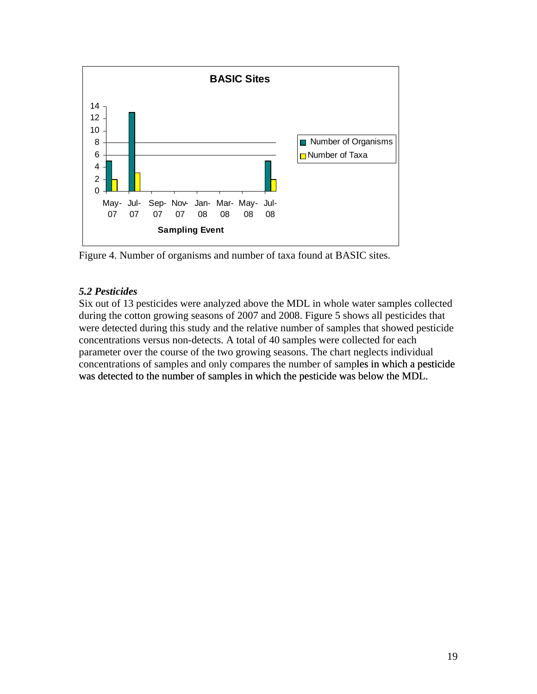

Figure 4. Number of organisms and number of taxa found at BASIC sites.

# <span id="page-18-0"></span>*5.2 Pesticides*

Six out of 13 pesticides were analyzed above the MDL in whole water samples collected during the cotton growing seasons of 2007 and 2008. Figure 5 shows all pesticides that were detected during this study and the relative number of samples that showed pesticide concentrations versus non-detects. A total of 40 samples were collected for each parameter over the course of the two growing seasons. The chart neglects individual concentrations of samples and only compares the number of samples in which a pesticide was detected to the number of samples in which the pesticide was below the MDL. les in which a pesticide below the MDL.<br>
19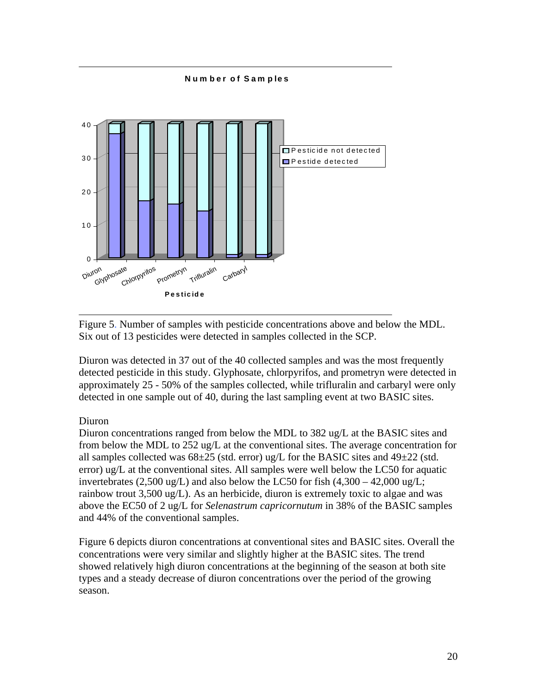**N um ber of Sam ples** 



Figure 5. Number of samples with pesticide concentrations above and below the MDL. Six out of 13 pesticides were detected in samples collected in the SCP.

Diuron was detected in 37 out of the 40 collected samples and was the most frequently detected pesticide in this study. Glyphosate, chlorpyrifos, and prometryn were detected in approximately 25 - 50% of the samples collected, while trifluralin and carbaryl were only detected in one sample out of 40, during the last sampling event at two BASIC sites.

## Diuron

Diuron concentrations ranged from below the MDL to 382 ug/L at the BASIC sites and from below the MDL to 252 ug/L at the conventional sites. The average concentration for all samples collected was  $68\pm25$  (std. error) ug/L for the BASIC sites and  $49\pm22$  (std. error) ug/L at the conventional sites. All samples were well below the LC50 for aquatic invertebrates (2,500 ug/L) and also below the LC50 for fish  $(4,300 - 42,000 \text{ ug/L})$ ; rainbow trout 3,500 ug/L). As an herbicide, diuron is extremely toxic to algae and was above the EC50 of 2 ug/L for *Selenastrum capricornutum* in 38% of the BASIC samples and 44% of the conventional samples.

Figure 6 depicts diuron concentrations at conventional sites and BASIC sites. Overall the concentrations were very similar and slightly higher at the BASIC sites. The trend showed relatively high diuron concentrations at the beginning of the season at both site types and a steady decrease of diuron concentrations over the period of the growing season.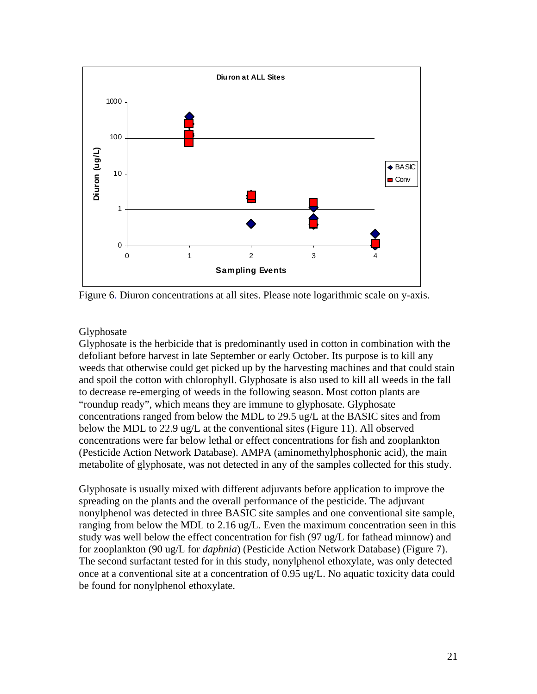

Figure 6. Diuron concentrations at all sites. Please note logarithmic scale on y-axis.

#### Glyphosate

Glyphosate is the herbicide that is predominantly used in cotton in combination with the defoliant before harvest in late September or early October. Its purpose is to kill any weeds that otherwise could get picked up by the harvesting machines and that could stain and spoil the cotton with chlorophyll. Glyphosate is also used to kill all weeds in the fall to decrease re-emerging of weeds in the following season. Most cotton plants are "roundup ready", which means they are immune to glyphosate. Glyphosate concentrations ranged from below the MDL to 29.5 ug/L at the BASIC sites and from below the MDL to 22.9 ug/L at the conventional sites (Figure 11). All observed concentrations were far below lethal or effect concentrations for fish and zooplankton (Pesticide Action Network Database). AMPA (aminomethylphosphonic acid), the main metabolite of glyphosate, was not detected in any of the samples collected for this study.

Glyphosate is usually mixed with different adjuvants before application to improve the spreading on the plants and the overall performance of the pesticide. The adjuvant nonylphenol was detected in three BASIC site samples and one conventional site sample, ranging from below the MDL to 2.16 ug/L. Even the maximum concentration seen in this study was well below the effect concentration for fish (97 ug/L for fathead minnow) and for zooplankton (90 ug/L for *daphnia*) (Pesticide Action Network Database) (Figure 7). The second surfactant tested for in this study, nonylphenol ethoxylate, was only detected once at a conventional site at a concentration of 0.95 ug/L. No aquatic toxicity data could be found for nonylphenol ethoxylate.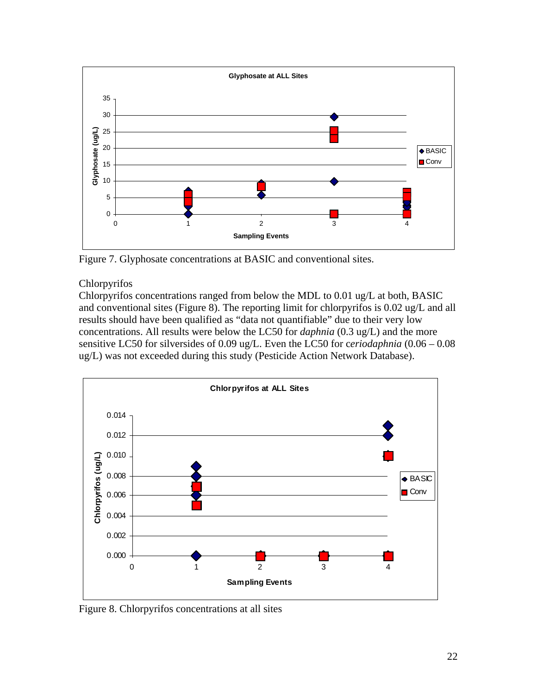

Figure 7. Glyphosate concentrations at BASIC and conventional sites.

# Chlorpyrifos

Chlorpyrifos concentrations ranged from below the MDL to 0.01 ug/L at both, BASIC and conventional sites (Figure 8). The reporting limit for chlorpyrifos is 0.02 ug/L and all results should have been qualified as "data not quantifiable" due to their very low concentrations. All results were below the LC50 for *daphnia* (0.3 ug/L) and the more sensitive LC50 for silversides of 0.09 ug/L. Even the LC50 for c*eriodaphnia* (0.06 – 0.08 ug/L) was not exceeded during this study (Pesticide Action Network Database).



Figure 8. Chlorpyrifos concentrations at all sites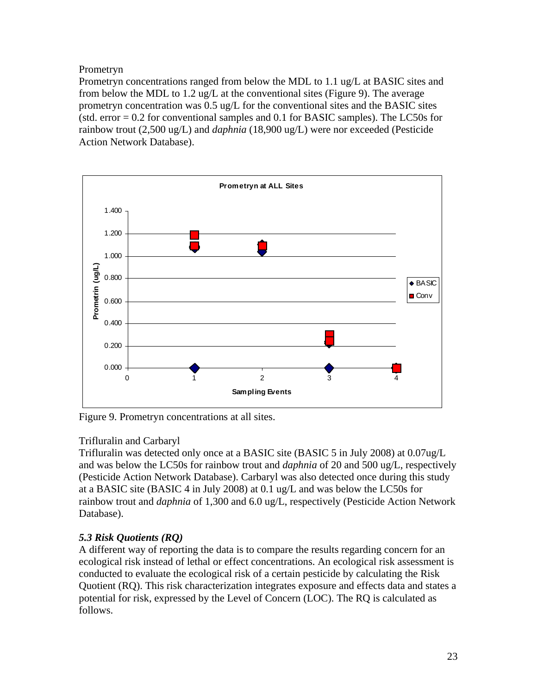Prometryn

Prometryn concentrations ranged from below the MDL to 1.1 ug/L at BASIC sites and from below the MDL to 1.2 ug/L at the conventional sites (Figure 9). The average prometryn concentration was 0.5 ug/L for the conventional sites and the BASIC sites (std. error  $= 0.2$  for conventional samples and 0.1 for BASIC samples). The LC50s for rainbow trout (2,500 ug/L) and *daphnia* (18,900 ug/L) were nor exceeded (Pesticide Action Network Database).



Figure 9. Prometryn concentrations at all sites.

# Trifluralin and Carbaryl

Trifluralin was detected only once at a BASIC site (BASIC 5 in July 2008) at 0.07ug/L and was below the LC50s for rainbow trout and *daphnia* of 20 and 500 ug/L, respectively (Pesticide Action Network Database). Carbaryl was also detected once during this study at a BASIC site (BASIC 4 in July 2008) at 0.1 ug/L and was below the LC50s for rainbow trout and *daphnia* of 1,300 and 6.0 ug/L, respectively (Pesticide Action Network Database).

# <span id="page-22-0"></span>*5.3 Risk Quotients (RQ)*

A different way of reporting the data is to compare the results regarding concern for an ecological risk instead of lethal or effect concentrations. An ecological risk assessment is conducted to evaluate the ecological risk of a certain pesticide by calculating the Risk Quotient (RQ). This risk characterization integrates exposure and effects data and states a potential for risk, expressed by the Level of Concern (LOC). The RQ is calculated as follows.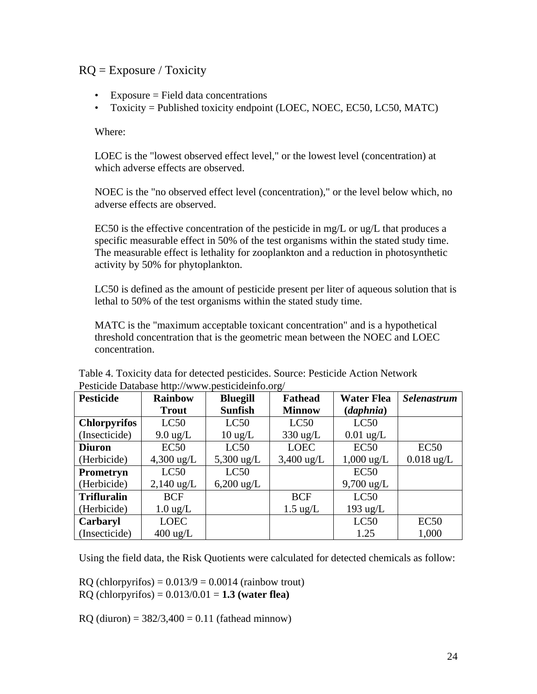# $RQ =$  Exposure / Toxicity

- Exposure = Field data concentrations
- Toxicity = Published toxicity endpoint (LOEC, NOEC, EC50, LC50, MATC)

Where:

LOEC is the "lowest observed effect level," or the lowest level (concentration) at which adverse effects are observed.

NOEC is the "no observed effect level (concentration)," or the level below which, no adverse effects are observed.

EC50 is the effective concentration of the pesticide in mg/L or  $\mu$ g/L that produces a specific measurable effect in 50% of the test organisms within the stated study time. The measurable effect is lethality for zooplankton and a reduction in photosynthetic activity by 50% for phytoplankton.

LC50 is defined as the amount of pesticide present per liter of aqueous solution that is lethal to 50% of the test organisms within the stated study time.

MATC is the "maximum acceptable toxicant concentration" and is a hypothetical threshold concentration that is the geometric mean between the NOEC and LOEC concentration.

| <b>Pesticide</b>    | <b>Rainbow</b>       | <b>Bluegill</b>      | <b>Fathead</b>     | <b>Water Flea</b>    | <b>Selenastrum</b> |
|---------------------|----------------------|----------------------|--------------------|----------------------|--------------------|
|                     | <b>Trout</b>         | <b>Sunfish</b>       | <b>Minnow</b>      | (daphnia)            |                    |
| <b>Chlorpyrifos</b> | LC50                 | LC50                 | LC50               | LC50                 |                    |
| (Insecticide)       | $9.0 \text{ ug/L}$   | $10 \text{ ug/L}$    | $330 \text{ ug/L}$ | $0.01$ ug/L          |                    |
| <b>Diuron</b>       | EC50                 | LC50                 | <b>LOEC</b>        | EC50                 | EC50               |
| (Herbicide)         | $4,300 \text{ ug/L}$ | $5,300 \text{ ug/L}$ | $3,400$ ug/L       | $1,000$ ug/L         | $0.018$ ug/L       |
| Prometryn           | LC50                 | LC50                 |                    | EC50                 |                    |
| (Herbicide)         | $2,140$ ug/L         | $6,200 \text{ ug/L}$ |                    | $9,700 \text{ ug/L}$ |                    |
| <b>Trifluralin</b>  | <b>BCF</b>           |                      | <b>BCF</b>         | LC50                 |                    |
| (Herbicide)         | $1.0 \text{ ug/L}$   |                      | $1.5 \text{ ug/L}$ | $193$ ug/L           |                    |
| Carbaryl            | <b>LOEC</b>          |                      |                    | LC50                 | EC50               |
| (Insecticide)       | $400 \text{ ug/L}$   |                      |                    | 1.25                 | 1,000              |

Table 4. Toxicity data for detected pesticides. Source: Pesticide Action Network Pesticide Database http://www.pesticideinfo.org/

Using the field data, the Risk Quotients were calculated for detected chemicals as follow:

 $RQ$  (chlorpyrifos) =  $0.013/9 = 0.0014$  (rainbow trout)

RQ (chlorpyrifos) = 0.013/0.01 = **1.3 (water flea)**

RO (diuron) =  $382/3,400 = 0.11$  (fathead minnow)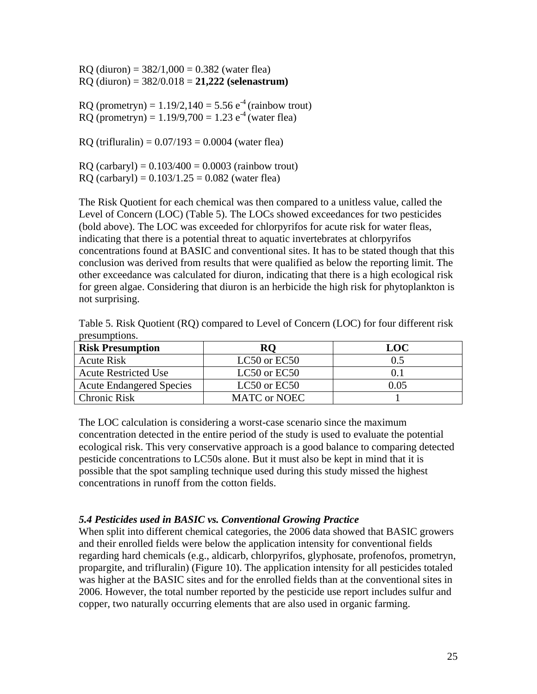$RQ$  (diuron) = 382/1,000 = 0.382 (water flea) RQ (diuron) = 382/0.018 = **21,222 (selenastrum)**

RQ (prometryn) =  $1.19/2,140 = 5.56 e^{-4}$  (rainbow trout) RO (prometryn) =  $1.19/9,700 = 1.23$  e<sup>-4</sup> (water flea)

RQ (trifluralin) =  $0.07/193 = 0.0004$  (water flea)

RQ (carbaryl) =  $0.103/400 = 0.0003$  (rainbow trout)

 $RQ$  (carbaryl) =  $0.103/1.25 = 0.082$  (water flea)

The Risk Quotient for each chemical was then compared to a unitless value, called the Level of Concern (LOC) (Table 5). The LOCs showed exceedances for two pesticides (bold above). The LOC was exceeded for chlorpyrifos for acute risk for water fleas, indicating that there is a potential threat to aquatic invertebrates at chlorpyrifos concentrations found at BASIC and conventional sites. It has to be stated though that this conclusion was derived from results that were qualified as below the reporting limit. The other exceedance was calculated for diuron, indicating that there is a high ecological risk for green algae. Considering that diuron is an herbicide the high risk for phytoplankton is not surprising.

| Table 5. Risk Quotient (RQ) compared to Level of Concern (LOC) for four different risk |  |  |  |
|----------------------------------------------------------------------------------------|--|--|--|
| presumptions.                                                                          |  |  |  |

| <b>Risk Presumption</b>         | RO                  | LOC  |
|---------------------------------|---------------------|------|
| <b>Acute Risk</b>               | LC50 or EC50        | 0.5  |
| <b>Acute Restricted Use</b>     | LC50 or EC50        |      |
| <b>Acute Endangered Species</b> | LC50 or EC50        | 0.05 |
| <b>Chronic Risk</b>             | <b>MATC</b> or NOEC |      |

The LOC calculation is considering a worst-case scenario since the maximum concentration detected in the entire period of the study is used to evaluate the potential ecological risk. This very conservative approach is a good balance to comparing detected pesticide concentrations to LC50s alone. But it must also be kept in mind that it is possible that the spot sampling technique used during this study missed the highest concentrations in runoff from the cotton fields.

## <span id="page-24-0"></span>*5.4 Pesticides used in BASIC vs. Conventional Growing Practice*

When split into different chemical categories, the 2006 data showed that BASIC growers and their enrolled fields were below the application intensity for conventional fields regarding hard chemicals (e.g., aldicarb, chlorpyrifos, glyphosate, profenofos, prometryn, propargite, and trifluralin) (Figure 10). The application intensity for all pesticides totaled was higher at the BASIC sites and for the enrolled fields than at the conventional sites in 2006. However, the total number reported by the pesticide use report includes sulfur and copper, two naturally occurring elements that are also used in organic farming.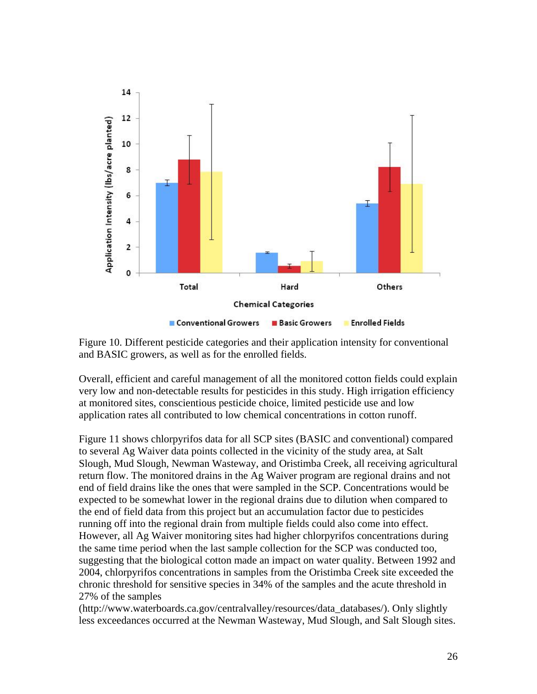

Figure 10. Different pesticide categories and their application intensity for conventional and BASIC growers, as well as for the enrolled fields.

Overall, efficient and careful management of all the monitored cotton fields could explain very low and non-detectable results for pesticides in this study. High irrigation efficiency at monitored sites, conscientious pesticide choice, limited pesticide use and low application rates all contributed to low chemical concentrations in cotton runoff.

Figure 11 shows chlorpyrifos data for all SCP sites (BASIC and conventional) compared to several Ag Waiver data points collected in the vicinity of the study area, at Salt Slough, Mud Slough, Newman Wasteway, and Oristimba Creek, all receiving agricultural return flow. The monitored drains in the Ag Waiver program are regional drains and not end of field drains like the ones that were sampled in the SCP. Concentrations would be expected to be somewhat lower in the regional drains due to dilution when compared to the end of field data from this project but an accumulation factor due to pesticides running off into the regional drain from multiple fields could also come into effect. However, all Ag Waiver monitoring sites had higher chlorpyrifos concentrations during the same time period when the last sample collection for the SCP was conducted too, suggesting that the biological cotton made an impact on water quality. Between 1992 and 2004, chlorpyrifos concentrations in samples from the Oristimba Creek site exceeded the chronic threshold for sensitive species in 34% of the samples and the acute threshold in 27% of the samples

(http://www.waterboards.ca.gov/centralvalley/resources/data\_databases/). Only slightly less exceedances occurred at the Newman Wasteway, Mud Slough, and Salt Slough sites.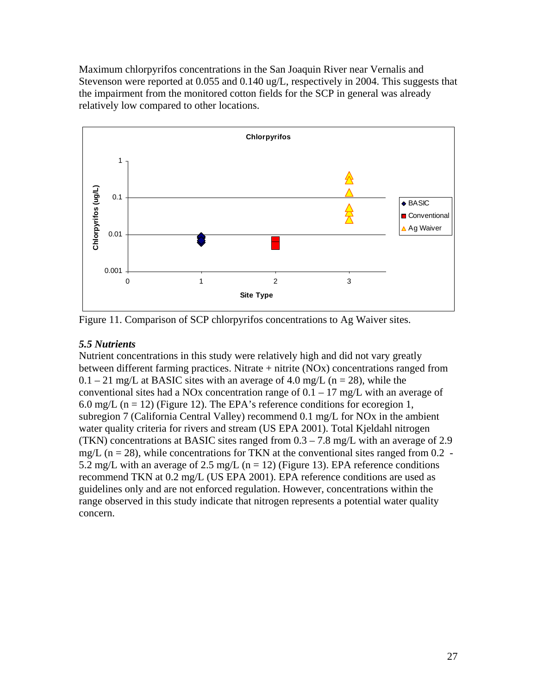Maximum chlorpyrifos concentrations in the San Joaquin River near Vernalis and Stevenson were reported at 0.055 and 0.140 ug/L, respectively in 2004. This suggests that the impairment from the monitored cotton fields for the SCP in general was already relatively low compared to other locations.



Figure 11. Comparison of SCP chlorpyrifos concentrations to Ag Waiver sites.

## <span id="page-26-0"></span>*5.5 Nutrients*

Nutrient concentrations in this study were relatively high and did not vary greatly between different farming practices. Nitrate + nitrite (NOx) concentrations ranged from  $0.1 - 21$  mg/L at BASIC sites with an average of 4.0 mg/L (n = 28), while the conventional sites had a NOx concentration range of  $0.1 - 17$  mg/L with an average of 6.0 mg/L ( $n = 12$ ) (Figure 12). The EPA's reference conditions for ecoregion 1, subregion 7 (California Central Valley) recommend 0.1 mg/L for NOx in the ambient water quality criteria for rivers and stream (US EPA 2001). Total Kjeldahl nitrogen (TKN) concentrations at BASIC sites ranged from 0.3 – 7.8 mg/L with an average of 2.9 mg/L ( $n = 28$ ), while concentrations for TKN at the conventional sites ranged from 0.2 -5.2 mg/L with an average of 2.5 mg/L ( $n = 12$ ) (Figure 13). EPA reference conditions recommend TKN at 0.2 mg/L (US EPA 2001). EPA reference conditions are used as guidelines only and are not enforced regulation. However, concentrations within the range observed in this study indicate that nitrogen represents a potential water quality concern.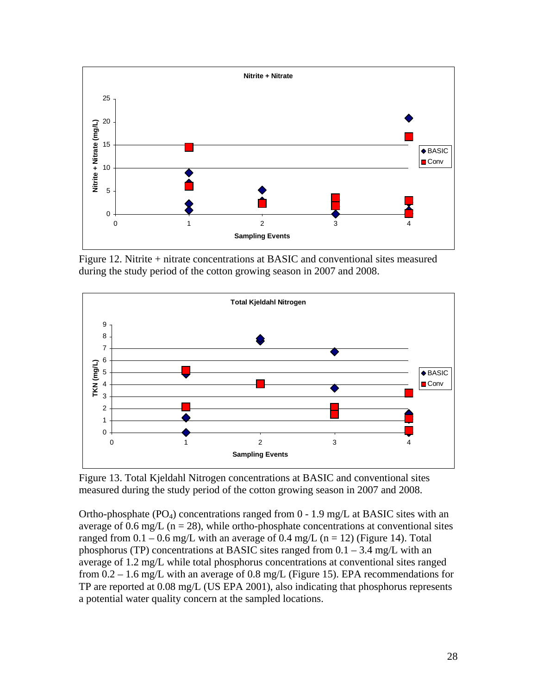

Figure 12. Nitrite + nitrate concentrations at BASIC and conventional sites measured during the study period of the cotton growing season in 2007 and 2008.



Figure 13. Total Kjeldahl Nitrogen concentrations at BASIC and conventional sites measured during the study period of the cotton growing season in 2007 and 2008.

Ortho-phosphate  $(PO_4)$  concentrations ranged from  $0 - 1.9$  mg/L at BASIC sites with an average of 0.6 mg/L ( $n = 28$ ), while ortho-phosphate concentrations at conventional sites ranged from  $0.1 - 0.6$  mg/L with an average of  $0.4$  mg/L (n = 12) (Figure 14). Total phosphorus (TP) concentrations at BASIC sites ranged from  $0.1 - 3.4$  mg/L with an average of 1.2 mg/L while total phosphorus concentrations at conventional sites ranged from 0.2 – 1.6 mg/L with an average of 0.8 mg/L (Figure 15). EPA recommendations for TP are reported at 0.08 mg/L (US EPA 2001), also indicating that phosphorus represents a potential water quality concern at the sampled locations.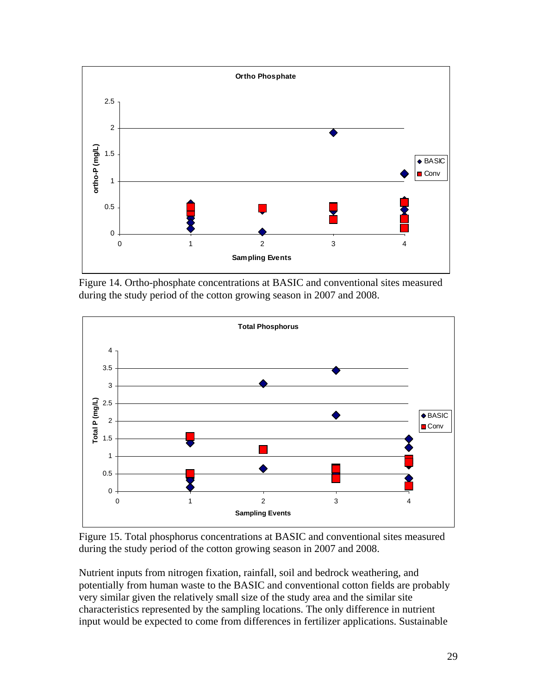

Figure 14. Ortho-phosphate concentrations at BASIC and conventional sites measured during the study period of the cotton growing season in 2007 and 2008.



Figure 15. Total phosphorus concentrations at BASIC and conventional sites measured during the study period of the cotton growing season in 2007 and 2008.

Nutrient inputs from nitrogen fixation, rainfall, soil and bedrock weathering, and potentially from human waste to the BASIC and conventional cotton fields are probably very similar given the relatively small size of the study area and the similar site characteristics represented by the sampling locations. The only difference in nutrient input would be expected to come from differences in fertilizer applications. Sustainable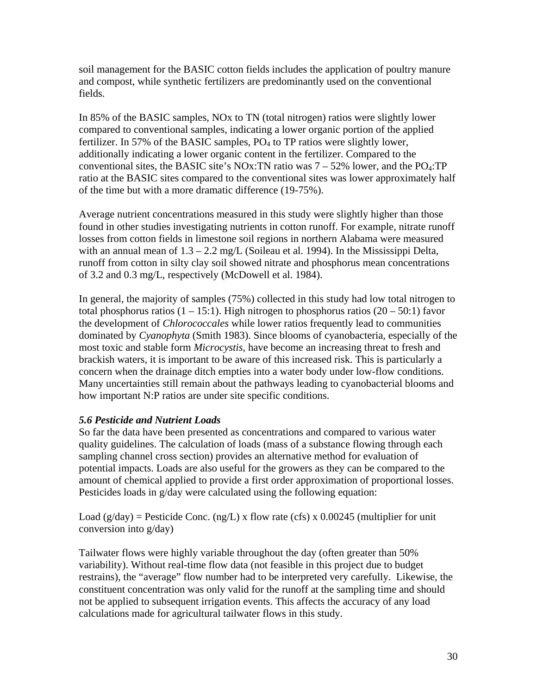soil management for the BASIC cotton fields includes the application of poultry manure and compost, while synthetic fertilizers are predominantly used on the conventional fields.

In 85% of the BASIC samples, NOx to TN (total nitrogen) ratios were slightly lower compared to conventional samples, indicating a lower organic portion of the applied fertilizer. In 57% of the BASIC samples,  $PO<sub>4</sub>$  to TP ratios were slightly lower, additionally indicating a lower organic content in the fertilizer. Compared to the conventional sites, the BASIC site's NOx:TN ratio was  $7 - 52\%$  lower, and the PO<sub>4</sub>:TP ratio at the BASIC sites compared to the conventional sites was lower approximately half of the time but with a more dramatic difference (19-75%).

Average nutrient concentrations measured in this study were slightly higher than those found in other studies investigating nutrients in cotton runoff. For example, nitrate runoff losses from cotton fields in limestone soil regions in northern Alabama were measured with an annual mean of  $1.3 - 2.2$  mg/L (Soileau et al. 1994). In the Mississippi Delta, runoff from cotton in silty clay soil showed nitrate and phosphorus mean concentrations of 3.2 and 0.3 mg/L, respectively (McDowell et al. 1984).

In general, the majority of samples (75%) collected in this study had low total nitrogen to total phosphorus ratios  $(1 - 15:1)$ . High nitrogen to phosphorus ratios  $(20 - 50:1)$  favor the development of *Chlorococcales* while lower ratios frequently lead to communities dominated by *Cyanophyta* (Smith 1983). Since blooms of cyanobacteria, especially of the most toxic and stable form *Microcystis,* have become an increasing threat to fresh and brackish waters, it is important to be aware of this increased risk. This is particularly a concern when the drainage ditch empties into a water body under low-flow conditions. Many uncertainties still remain about the pathways leading to cyanobacterial blooms and how important N:P ratios are under site specific conditions.

## <span id="page-29-0"></span>*5.6 Pesticide and Nutrient Loads*

So far the data have been presented as concentrations and compared to various water quality guidelines. The calculation of loads (mass of a substance flowing through each sampling channel cross section) provides an alternative method for evaluation of potential impacts. Loads are also useful for the growers as they can be compared to the amount of chemical applied to provide a first order approximation of proportional losses. Pesticides loads in g/day were calculated using the following equation:

Load ( $g/day$ ) = Pesticide Conc. (ng/L) x flow rate (cfs) x 0.00245 (multiplier for unit conversion into g/day)

Tailwater flows were highly variable throughout the day (often greater than 50% variability). Without real-time flow data (not feasible in this project due to budget restrains), the "average" flow number had to be interpreted very carefully. Likewise, the constituent concentration was only valid for the runoff at the sampling time and should not be applied to subsequent irrigation events. This affects the accuracy of any load calculations made for agricultural tailwater flows in this study.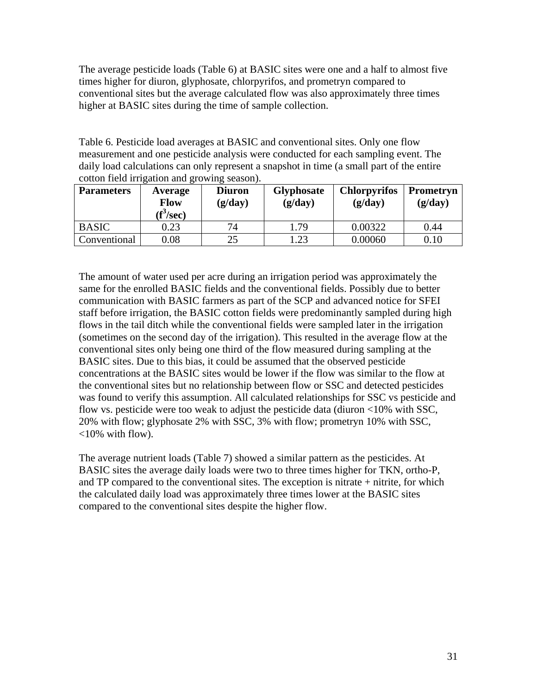The average pesticide loads (Table 6) at BASIC sites were one and a half to almost five times higher for diuron, glyphosate, chlorpyrifos, and prometryn compared to conventional sites but the average calculated flow was also approximately three times higher at BASIC sites during the time of sample collection.

Table 6. Pesticide load averages at BASIC and conventional sites. Only one flow measurement and one pesticide analysis were conducted for each sampling event. The daily load calculations can only represent a snapshot in time (a small part of the entire cotton field irrigation and growing season).

| <b>Parameters</b> | Average<br><b>Flow</b><br>(f <sup>s</sup> /sec) | <b>Diuron</b><br>(g/day) | <b>Glyphosate</b><br>(g/day) | <b>Chlorpyrifos</b><br>(g/day) | Prometryn<br>(g/day) |
|-------------------|-------------------------------------------------|--------------------------|------------------------------|--------------------------------|----------------------|
| <b>BASIC</b>      | 0.23                                            | 74                       | 1.79                         | 0.00322                        | 0.44                 |
| Conventional      | 0.08                                            | 25                       | 1.23                         | 0.00060                        | 0.10                 |

The amount of water used per acre during an irrigation period was approximately the same for the enrolled BASIC fields and the conventional fields. Possibly due to better communication with BASIC farmers as part of the SCP and advanced notice for SFEI staff before irrigation, the BASIC cotton fields were predominantly sampled during high flows in the tail ditch while the conventional fields were sampled later in the irrigation (sometimes on the second day of the irrigation). This resulted in the average flow at the conventional sites only being one third of the flow measured during sampling at the BASIC sites. Due to this bias, it could be assumed that the observed pesticide concentrations at the BASIC sites would be lower if the flow was similar to the flow at the conventional sites but no relationship between flow or SSC and detected pesticides was found to verify this assumption. All calculated relationships for SSC vs pesticide and flow vs. pesticide were too weak to adjust the pesticide data (diuron <10% with SSC, 20% with flow; glyphosate 2% with SSC, 3% with flow; prometryn 10% with SSC,  $<10\%$  with flow).

The average nutrient loads (Table 7) showed a similar pattern as the pesticides. At BASIC sites the average daily loads were two to three times higher for TKN, ortho-P, and TP compared to the conventional sites. The exception is nitrate + nitrite, for which the calculated daily load was approximately three times lower at the BASIC sites compared to the conventional sites despite the higher flow.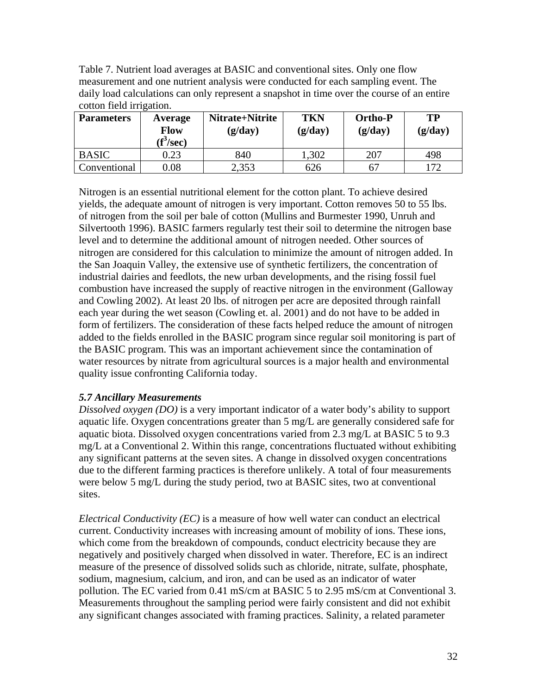Table 7. Nutrient load averages at BASIC and conventional sites. Only one flow measurement and one nutrient analysis were conducted for each sampling event. The daily load calculations can only represent a snapshot in time over the course of an entire cotton field irrigation.

| <b>Parameters</b> | Average<br><b>Flow</b><br>$(f^3/\text{sec})$ | Nitrate+Nitrite<br>(g/day) | <b>TKN</b><br>(g/day) | <b>Ortho-P</b><br>(g/day) | TP<br>(g/day) |
|-------------------|----------------------------------------------|----------------------------|-----------------------|---------------------------|---------------|
| <b>BASIC</b>      | 0.23                                         | 840                        | 1,302                 | 207                       | 498           |
| Conventional      | 0.08                                         | 2,353                      | 626                   | 67                        | 172           |

Nitrogen is an essential nutritional element for the cotton plant. To achieve desired yields, the adequate amount of nitrogen is very important. Cotton removes 50 to 55 lbs. of nitrogen from the soil per bale of cotton (Mullins and Burmester 1990, Unruh and Silvertooth 1996). BASIC farmers regularly test their soil to determine the nitrogen base level and to determine the additional amount of nitrogen needed. Other sources of nitrogen are considered for this calculation to minimize the amount of nitrogen added. In the San Joaquin Valley, the extensive use of synthetic fertilizers, the concentration of industrial dairies and feedlots, the new urban developments, and the rising fossil fuel combustion have increased the supply of reactive nitrogen in the environment (Galloway and Cowling 2002). At least 20 lbs. of nitrogen per acre are deposited through rainfall each year during the wet season (Cowling et. al. 2001) and do not have to be added in form of fertilizers. The consideration of these facts helped reduce the amount of nitrogen added to the fields enrolled in the BASIC program since regular soil monitoring is part of the BASIC program. This was an important achievement since the contamination of water resources by nitrate from agricultural sources is a major health and environmental quality issue confronting California today.

## <span id="page-31-0"></span>*5.7 Ancillary Measurements*

*Dissolved oxygen (DO)* is a very important indicator of a water body's ability to support aquatic life. Oxygen concentrations greater than 5 mg/L are generally considered safe for aquatic biota. Dissolved oxygen concentrations varied from 2.3 mg/L at BASIC 5 to 9.3 mg/L at a Conventional 2. Within this range, concentrations fluctuated without exhibiting any significant patterns at the seven sites. A change in dissolved oxygen concentrations due to the different farming practices is therefore unlikely. A total of four measurements were below 5 mg/L during the study period, two at BASIC sites, two at conventional sites.

*Electrical Conductivity (EC)* is a measure of how well water can conduct an electrical current. Conductivity increases with increasing amount of mobility of ions. These ions, which come from the breakdown of compounds, conduct electricity because they are negatively and positively charged when dissolved in water. Therefore, EC is an indirect measure of the presence of dissolved solids such as chloride, nitrate, sulfate, phosphate, sodium, magnesium, calcium, and iron, and can be used as an indicator of water pollution. The EC varied from 0.41 mS/cm at BASIC 5 to 2.95 mS/cm at Conventional 3. Measurements throughout the sampling period were fairly consistent and did not exhibit any significant changes associated with framing practices. Salinity, a related parameter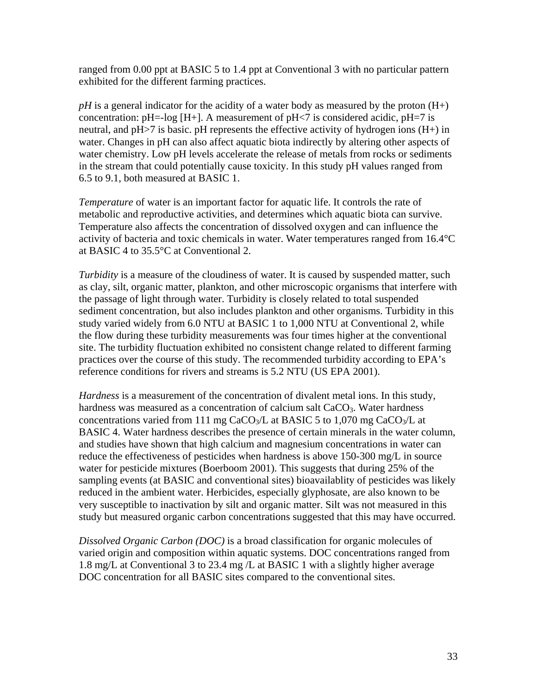ranged from 0.00 ppt at BASIC 5 to 1.4 ppt at Conventional 3 with no particular pattern exhibited for the different farming practices.

*pH* is a general indicator for the acidity of a water body as measured by the proton (H+) concentration:  $pH$ =-log [H+]. A measurement of  $pH \lt 7$  is considered acidic,  $pH = 7$  is neutral, and pH>7 is basic. pH represents the effective activity of hydrogen ions (H+) in water. Changes in pH can also affect aquatic biota indirectly by altering other aspects of water chemistry. Low pH levels accelerate the release of metals from rocks or sediments in the stream that could potentially cause toxicity. In this study pH values ranged from 6.5 to 9.1, both measured at BASIC 1.

*Temperature* of water is an important factor for aquatic life. It controls the rate of metabolic and reproductive activities, and determines which aquatic biota can survive. Temperature also affects the concentration of dissolved oxygen and can influence the activity of bacteria and toxic chemicals in water. Water temperatures ranged from 16.4°C at BASIC 4 to 35.5°C at Conventional 2.

*Turbidity* is a measure of the cloudiness of water. It is caused by suspended matter, such as clay, silt, organic matter, plankton, and other microscopic organisms that interfere with the passage of light through water. Turbidity is closely related to total suspended sediment concentration, but also includes plankton and other organisms. Turbidity in this study varied widely from 6.0 NTU at BASIC 1 to 1,000 NTU at Conventional 2, while the flow during these turbidity measurements was four times higher at the conventional site. The turbidity fluctuation exhibited no consistent change related to different farming practices over the course of this study. The recommended turbidity according to EPA's reference conditions for rivers and streams is 5.2 NTU (US EPA 2001).

*Hardness* is a measurement of the concentration of divalent metal ions. In this study, hardness was measured as a concentration of calcium salt  $CaCO<sub>3</sub>$ . Water hardness concentrations varied from 111 mg CaCO<sub>3</sub>/L at BASIC 5 to 1,070 mg CaCO<sub>3</sub>/L at BASIC 4. Water hardness describes the presence of certain minerals in the water column, and studies have shown that high calcium and magnesium concentrations in water can reduce the effectiveness of pesticides when hardness is above 150-300 mg/L in source water for pesticide mixtures (Boerboom 2001). This suggests that during 25% of the sampling events (at BASIC and conventional sites) bioavailablity of pesticides was likely reduced in the ambient water. Herbicides, especially glyphosate, are also known to be very susceptible to inactivation by silt and organic matter. Silt was not measured in this study but measured organic carbon concentrations suggested that this may have occurred.

*Dissolved Organic Carbon (DOC)* is a broad classification for organic molecules of varied origin and composition within aquatic systems. DOC concentrations ranged from 1.8 mg/L at Conventional 3 to 23.4 mg /L at BASIC 1 with a slightly higher average DOC concentration for all BASIC sites compared to the conventional sites.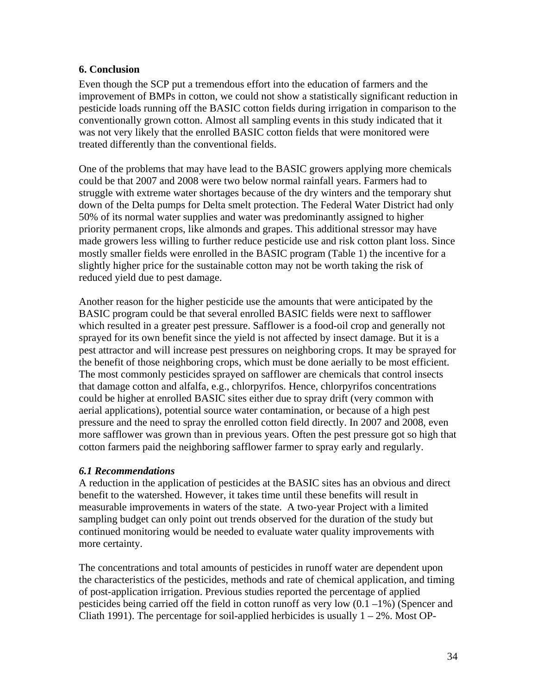## <span id="page-33-0"></span>**6. Conclusion**

Even though the SCP put a tremendous effort into the education of farmers and the improvement of BMPs in cotton, we could not show a statistically significant reduction in pesticide loads running off the BASIC cotton fields during irrigation in comparison to the conventionally grown cotton. Almost all sampling events in this study indicated that it was not very likely that the enrolled BASIC cotton fields that were monitored were treated differently than the conventional fields.

One of the problems that may have lead to the BASIC growers applying more chemicals could be that 2007 and 2008 were two below normal rainfall years. Farmers had to struggle with extreme water shortages because of the dry winters and the temporary shut down of the Delta pumps for Delta smelt protection. The Federal Water District had only 50% of its normal water supplies and water was predominantly assigned to higher priority permanent crops, like almonds and grapes. This additional stressor may have made growers less willing to further reduce pesticide use and risk cotton plant loss. Since mostly smaller fields were enrolled in the BASIC program (Table 1) the incentive for a slightly higher price for the sustainable cotton may not be worth taking the risk of reduced yield due to pest damage.

Another reason for the higher pesticide use the amounts that were anticipated by the BASIC program could be that several enrolled BASIC fields were next to safflower which resulted in a greater pest pressure. Safflower is a food-oil crop and generally not sprayed for its own benefit since the yield is not affected by insect damage. But it is a pest attractor and will increase pest pressures on neighboring crops. It may be sprayed for the benefit of those neighboring crops, which must be done aerially to be most efficient. The most commonly pesticides sprayed on safflower are chemicals that control insects that damage cotton and alfalfa, e.g., chlorpyrifos. Hence, chlorpyrifos concentrations could be higher at enrolled BASIC sites either due to spray drift (very common with aerial applications), potential source water contamination, or because of a high pest pressure and the need to spray the enrolled cotton field directly. In 2007 and 2008, even more safflower was grown than in previous years. Often the pest pressure got so high that cotton farmers paid the neighboring safflower farmer to spray early and regularly.

#### <span id="page-33-1"></span>*6.1 Recommendations*

A reduction in the application of pesticides at the BASIC sites has an obvious and direct benefit to the watershed. However, it takes time until these benefits will result in measurable improvements in waters of the state. A two-year Project with a limited sampling budget can only point out trends observed for the duration of the study but continued monitoring would be needed to evaluate water quality improvements with more certainty.

The concentrations and total amounts of pesticides in runoff water are dependent upon the characteristics of the pesticides, methods and rate of chemical application, and timing of post-application irrigation. Previous studies reported the percentage of applied pesticides being carried off the field in cotton runoff as very low  $(0.1 -1%)$  (Spencer and Cliath 1991). The percentage for soil-applied herbicides is usually  $1 - 2\%$ . Most OP-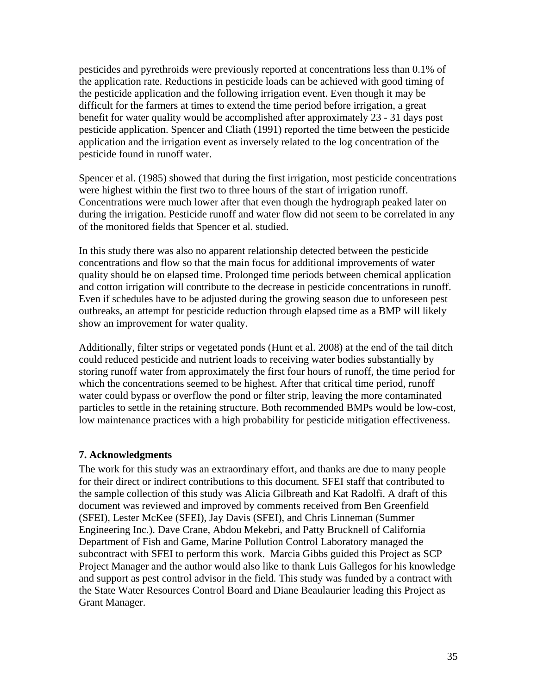pesticides and pyrethroids were previously reported at concentrations less than 0.1% of the application rate. Reductions in pesticide loads can be achieved with good timing of the pesticide application and the following irrigation event. Even though it may be difficult for the farmers at times to extend the time period before irrigation, a great benefit for water quality would be accomplished after approximately 23 - 31 days post pesticide application. Spencer and Cliath (1991) reported the time between the pesticide application and the irrigation event as inversely related to the log concentration of the pesticide found in runoff water.

Spencer et al. (1985) showed that during the first irrigation, most pesticide concentrations were highest within the first two to three hours of the start of irrigation runoff. Concentrations were much lower after that even though the hydrograph peaked later on during the irrigation. Pesticide runoff and water flow did not seem to be correlated in any of the monitored fields that Spencer et al. studied.

In this study there was also no apparent relationship detected between the pesticide concentrations and flow so that the main focus for additional improvements of water quality should be on elapsed time. Prolonged time periods between chemical application and cotton irrigation will contribute to the decrease in pesticide concentrations in runoff. Even if schedules have to be adjusted during the growing season due to unforeseen pest outbreaks, an attempt for pesticide reduction through elapsed time as a BMP will likely show an improvement for water quality.

Additionally, filter strips or vegetated ponds (Hunt et al. 2008) at the end of the tail ditch could reduced pesticide and nutrient loads to receiving water bodies substantially by storing runoff water from approximately the first four hours of runoff, the time period for which the concentrations seemed to be highest. After that critical time period, runoff water could bypass or overflow the pond or filter strip, leaving the more contaminated particles to settle in the retaining structure. Both recommended BMPs would be low-cost, low maintenance practices with a high probability for pesticide mitigation effectiveness.

#### <span id="page-34-0"></span>**7. Acknowledgments**

The work for this study was an extraordinary effort, and thanks are due to many people for their direct or indirect contributions to this document. SFEI staff that contributed to the sample collection of this study was Alicia Gilbreath and Kat Radolfi. A draft of this document was reviewed and improved by comments received from Ben Greenfield (SFEI), Lester McKee (SFEI), Jay Davis (SFEI), and Chris Linneman (Summer Engineering Inc.). Dave Crane, Abdou Mekebri, and Patty Brucknell of California Department of Fish and Game, Marine Pollution Control Laboratory managed the subcontract with SFEI to perform this work. Marcia Gibbs guided this Project as SCP Project Manager and the author would also like to thank Luis Gallegos for his knowledge and support as pest control advisor in the field. This study was funded by a contract with the State Water Resources Control Board and Diane Beaulaurier leading this Project as Grant Manager.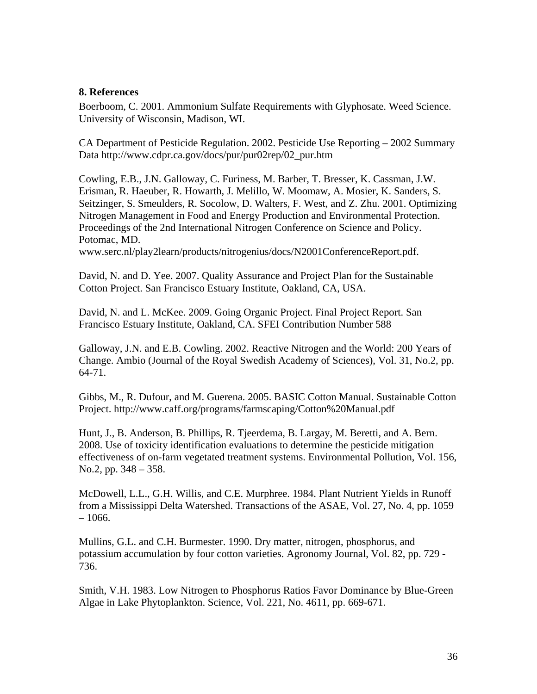#### <span id="page-35-0"></span>**8. References**

Boerboom, C. 2001. Ammonium Sulfate Requirements with Glyphosate. Weed Science. University of Wisconsin, Madison, WI.

CA Department of Pesticide Regulation. 2002. Pesticide Use Reporting – 2002 Summary Data http://www.cdpr.ca.gov/docs/pur/pur02rep/02\_pur.htm

Cowling, E.B., J.N. Galloway, C. Furiness, M. Barber, T. Bresser, K. Cassman, J.W. Erisman, R. Haeuber, R. Howarth, J. Melillo, W. Moomaw, A. Mosier, K. Sanders, S. Seitzinger, S. Smeulders, R. Socolow, D. Walters, F. West, and Z. Zhu. 2001. Optimizing Nitrogen Management in Food and Energy Production and Environmental Protection. Proceedings of the 2nd International Nitrogen Conference on Science and Policy. Potomac, MD.

www.serc.nl/play2learn/products/nitrogenius/docs/N2001ConferenceReport.pdf.

David, N. and D. Yee. 2007. Quality Assurance and Project Plan for the Sustainable Cotton Project. San Francisco Estuary Institute, Oakland, CA, USA.

David, N. and L. McKee. 2009. Going Organic Project. Final Project Report. San Francisco Estuary Institute, Oakland, CA. SFEI Contribution Number 588

Galloway, J.N. and E.B. Cowling. 2002. Reactive Nitrogen and the World: 200 Years of Change. Ambio (Journal of the Royal Swedish Academy of Sciences), Vol. 31, No.2, pp. 64-71.

Gibbs, M., R. Dufour, and M. Guerena. 2005. BASIC Cotton Manual. Sustainable Cotton Project. http://www.caff.org/programs/farmscaping/Cotton%20Manual.pdf

Hunt, J., B. Anderson, B. Phillips, R. Tjeerdema, B. Largay, M. Beretti, and A. Bern. 2008. Use of toxicity identification evaluations to determine the pesticide mitigation effectiveness of on-farm vegetated treatment systems. Environmental Pollution, Vol. 156, No.2, pp. 348 – 358.

McDowell, L.L., G.H. Willis, and C.E. Murphree. 1984. Plant Nutrient Yields in Runoff from a Mississippi Delta Watershed. Transactions of the ASAE, Vol. 27, No. 4, pp. 1059  $-1066.$ 

Mullins, G.L. and C.H. Burmester. 1990. Dry matter, nitrogen, phosphorus, and potassium accumulation by four cotton varieties. Agronomy Journal, Vol. 82, pp. 729 - 736.

Smith, V.H. 1983. Low Nitrogen to Phosphorus Ratios Favor Dominance by Blue-Green Algae in Lake Phytoplankton. Science, Vol. 221, No. 4611, pp. 669-671.